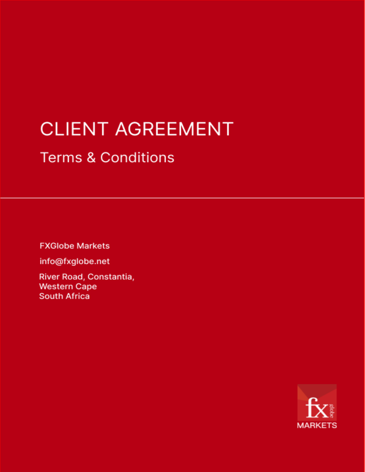# **CLIENT AGREEMENT**

# **Terms & Conditions**

**FXGlobe Markets** 

info@fxglobe.net

River Road, Constantia, **Western Cape South Africa** 

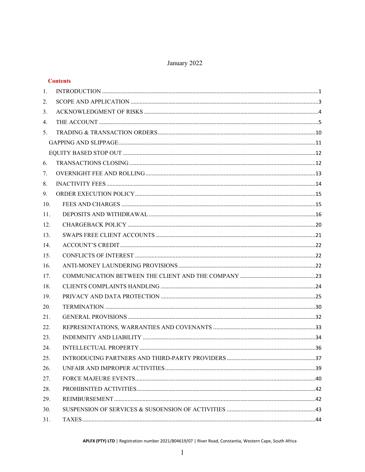# January 2022

|     | <b>Contents</b> |  |
|-----|-----------------|--|
| 1.  |                 |  |
| 2.  |                 |  |
| 3.  |                 |  |
| 4.  |                 |  |
| 5.  |                 |  |
|     |                 |  |
|     |                 |  |
| 6.  |                 |  |
| 7.  |                 |  |
| 8.  |                 |  |
| 9.  |                 |  |
| 10. |                 |  |
| 11. |                 |  |
| 12. |                 |  |
| 13. |                 |  |
| 14. |                 |  |
| 15. |                 |  |
| 16. |                 |  |
| 17. |                 |  |
| 18. |                 |  |
| 19. |                 |  |
| 20. |                 |  |
| 21. |                 |  |
| 22. |                 |  |
| 23. |                 |  |
| 24. |                 |  |
| 25. |                 |  |
| 26. |                 |  |
| 27. |                 |  |
| 28. |                 |  |
| 29. |                 |  |
| 30. |                 |  |
| 31. |                 |  |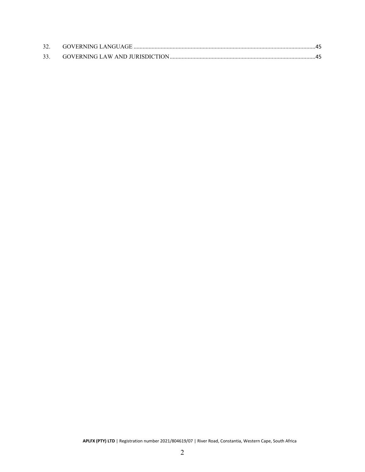| 33. |  |
|-----|--|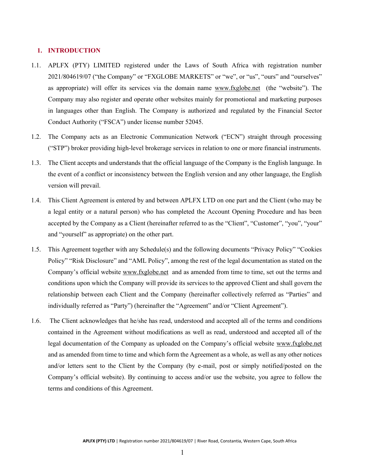#### <span id="page-3-0"></span>**1. INTRODUCTION**

- 1.1. APLFX (PTY) LIMITED registered under the Laws of South Africa with registration number 2021/804619/07 ("the Company" or "FXGLOBE MARKETS" or "we", or "us", "ours" and "ourselves" as appropriate) will offer its services via the domain name [www.fxglobe.net](http://www.fxglobe.net/) (the "website"). The Company may also register and operate other websites mainly for promotional and marketing purposes in languages other than English. The Company is authorized and regulated by the Financial Sector Conduct Authority ("FSCA") under license number 52045.
- 1.2. The Company acts as an Electronic Communication Network ("ECN") straight through processing ("STP") broker providing high-level brokerage services in relation to one or more financial instruments.
- 1.3. The Client accepts and understands that the official language of the Company is the English language. In the event of a conflict or inconsistency between the English version and any other language, the English version will prevail.
- 1.4. This Client Agreement is entered by and between APLFX LTD on one part and the Client (who may be a legal entity or a natural person) who has completed the Account Opening Procedure and has been accepted by the Company as a Client (hereinafter referred to as the "Client", "Customer", "you", "your" and "yourself" as appropriate) on the other part.
- 1.5. This Agreement together with any Schedule(s) and the following documents "Privacy Policy" "Cookies Policy" "Risk Disclosure" and "AML Policy", among the rest of the legal documentation as stated on the Company's official website [www.fxglobe.net](http://www.fxglobe.net/) and as amended from time to time, set out the terms and conditions upon which the Company will provide its services to the approved Client and shall govern the relationship between each Client and the Company (hereinafter collectively referred as "Parties" and individually referred as "Party") (hereinafter the "Agreement" and/or "Client Agreement").
- 1.6. The Client acknowledges that he/she has read, understood and accepted all of the terms and conditions contained in the Agreement without modifications as well as read, understood and accepted all of the legal documentation of the Company as uploaded on the Company's official website [www.fxglobe.net](http://www.fxglobe.net/) and as amended from time to time and which form the Agreement as a whole, as well as any other notices and/or letters sent to the Client by the Company (by e-mail, post or simply notified/posted on the Company's official website). By continuing to access and/or use the website, you agree to follow the terms and conditions of this Agreement.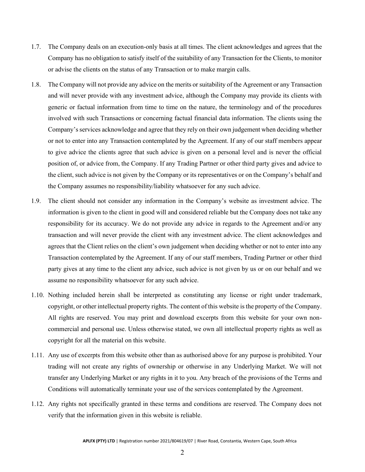- 1.7. The Company deals on an execution-only basis at all times. The client acknowledges and agrees that the Company has no obligation to satisfy itself of the suitability of any Transaction for the Clients, to monitor or advise the clients on the status of any Transaction or to make margin calls.
- 1.8. The Company will not provide any advice on the merits or suitability of the Agreement or any Transaction and will never provide with any investment advice, although the Company may provide its clients with generic or factual information from time to time on the nature, the terminology and of the procedures involved with such Transactions or concerning factual financial data information. The clients using the Company's services acknowledge and agree that they rely on their own judgement when deciding whether or not to enter into any Transaction contemplated by the Agreement. If any of our staff members appear to give advice the clients agree that such advice is given on a personal level and is never the official position of, or advice from, the Company. If any Trading Partner or other third party gives and advice to the client, such advice is not given by the Company or its representatives or on the Company's behalf and the Company assumes no responsibility/liability whatsoever for any such advice.
- 1.9. The client should not consider any information in the Company's website as investment advice. The information is given to the client in good will and considered reliable but the Company does not take any responsibility for its accuracy. We do not provide any advice in regards to the Agreement and/or any transaction and will never provide the client with any investment advice. The client acknowledges and agrees that the Client relies on the client's own judgement when deciding whether or not to enter into any Transaction contemplated by the Agreement. If any of our staff members, Trading Partner or other third party gives at any time to the client any advice, such advice is not given by us or on our behalf and we assume no responsibility whatsoever for any such advice.
- 1.10. Nothing included herein shall be interpreted as constituting any license or right under trademark, copyright, or other intellectual property rights. The content of this website is the property of the Company. All rights are reserved. You may print and download excerpts from this website for your own noncommercial and personal use. Unless otherwise stated, we own all intellectual property rights as well as copyright for all the material on this website.
- 1.11. Any use of excerpts from this website other than as authorised above for any purpose is prohibited. Your trading will not create any rights of ownership or otherwise in any Underlying Market. We will not transfer any Underlying Market or any rights in it to you. Any breach of the provisions of the Terms and Conditions will automatically terminate your use of the services contemplated by the Agreement.
- 1.12. Any rights not specifically granted in these terms and conditions are reserved. The Company does not verify that the information given in this website is reliable.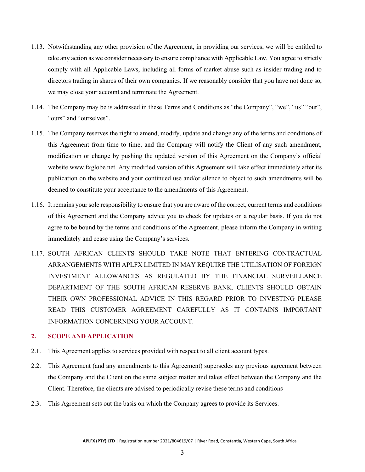- 1.13. Notwithstanding any other provision of the Agreement, in providing our services, we will be entitled to take any action as we consider necessary to ensure compliance with Applicable Law. You agree to strictly comply with all Applicable Laws, including all forms of market abuse such as insider trading and to directors trading in shares of their own companies. If we reasonably consider that you have not done so, we may close your account and terminate the Agreement.
- 1.14. The Company may be is addressed in these Terms and Conditions as "the Company", "we", "us" "our", "ours" and "ourselves".
- 1.15. The Company reserves the right to amend, modify, update and change any of the terms and conditions of this Agreement from time to time, and the Company will notify the Client of any such amendment, modification or change by pushing the updated version of this Agreement on the Company's official website [www.fxglobe.net.](http://www.fxglobe.net/) Any modified version of this Agreement will take effect immediately after its publication on the website and your continued use and/or silence to object to such amendments will be deemed to constitute your acceptance to the amendments of this Agreement.
- 1.16. It remains your sole responsibility to ensure that you are aware of the correct, current terms and conditions of this Agreement and the Company advice you to check for updates on a regular basis. If you do not agree to be bound by the terms and conditions of the Agreement, please inform the Company in writing immediately and cease using the Company's services.
- 1.17. SOUTH AFRICAN CLIENTS SHOULD TAKE NOTE THAT ENTERING CONTRACTUAL ARRANGEMENTS WITH APLFX LIMITED IN MAY REQUIRE THE UTILISATION OF FOREIGN INVESTMENT ALLOWANCES AS REGULATED BY THE FINANCIAL SURVEILLANCE DEPARTMENT OF THE SOUTH AFRICAN RESERVE BANK. CLIENTS SHOULD OBTAIN THEIR OWN PROFESSIONAL ADVICE IN THIS REGARD PRIOR TO INVESTING PLEASE READ THIS CUSTOMER AGREEMENT CAREFULLY AS IT CONTAINS IMPORTANT INFORMATION CONCERNING YOUR ACCOUNT.

# <span id="page-5-0"></span>**2. SCOPE AND APPLICATION**

- 2.1. This Agreement applies to services provided with respect to all client account types.
- 2.2. This Agreement (and any amendments to this Agreement) supersedes any previous agreement between the Company and the Client on the same subject matter and takes effect between the Company and the Client. Therefore, the clients are advised to periodically revise these terms and conditions
- 2.3. This Agreement sets out the basis on which the Company agrees to provide its Services.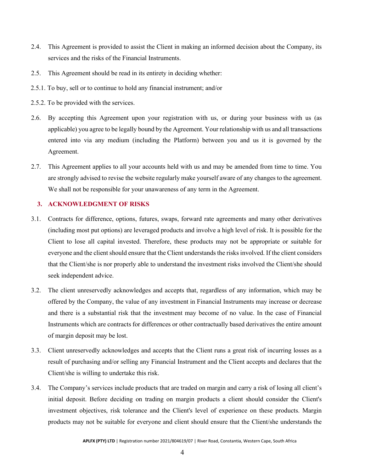- 2.4. This Agreement is provided to assist the Client in making an informed decision about the Company, its services and the risks of the Financial Instruments.
- 2.5. This Agreement should be read in its entirety in deciding whether:
- 2.5.1. To buy, sell or to continue to hold any financial instrument; and/or
- 2.5.2. To be provided with the services.
- 2.6. By accepting this Agreement upon your registration with us, or during your business with us (as applicable) you agree to be legally bound by the Agreement. Your relationship with us and all transactions entered into via any medium (including the Platform) between you and us it is governed by the Agreement.
- 2.7. This Agreement applies to all your accounts held with us and may be amended from time to time. You are strongly advised to revise the website regularly make yourself aware of any changes to the agreement. We shall not be responsible for your unawareness of any term in the Agreement.

#### <span id="page-6-0"></span>**3. ACKNOWLEDGMENT OF RISKS**

- 3.1. Contracts for difference, options, futures, swaps, forward rate agreements and many other derivatives (including most put options) are leveraged products and involve a high level of risk. It is possible for the Client to lose all capital invested. Therefore, these products may not be appropriate or suitable for everyone and the client should ensure that the Client understands the risks involved. If the client considers that the Client/she is nor properly able to understand the investment risks involved the Client/she should seek independent advice.
- 3.2. The client unreservedly acknowledges and accepts that, regardless of any information, which may be offered by the Company, the value of any investment in Financial Instruments may increase or decrease and there is a substantial risk that the investment may become of no value. In the case of Financial Instruments which are contracts for differences or other contractually based derivatives the entire amount of margin deposit may be lost.
- 3.3. Client unreservedly acknowledges and accepts that the Client runs a great risk of incurring losses as a result of purchasing and/or selling any Financial Instrument and the Client accepts and declares that the Client/she is willing to undertake this risk.
- 3.4. The Company's services include products that are traded on margin and carry a risk of losing all client's initial deposit. Before deciding on trading on margin products a client should consider the Client's investment objectives, risk tolerance and the Client's level of experience on these products. Margin products may not be suitable for everyone and client should ensure that the Client/she understands the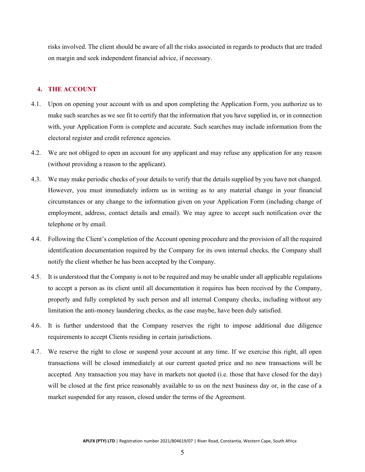risks involved. The client should be aware of all the risks associated in regards to products that are traded on margin and seek independent financial advice, if necessary.

# <span id="page-7-0"></span>**4. THE ACCOUNT**

- 4.1. Upon on opening your account with us and upon completing the Application Form, you authorize us to make such searches as we see fit to certify that the information that you have supplied in, or in connection with, your Application Form is complete and accurate. Such searches may include information from the electoral register and credit reference agencies.
- 4.2. We are not obliged to open an account for any applicant and may refuse any application for any reason (without providing a reason to the applicant).
- 4.3. We may make periodic checks of your details to verify that the details supplied by you have not changed. However, you must immediately inform us in writing as to any material change in your financial circumstances or any change to the information given on your Application Form (including change of employment, address, contact details and email). We may agree to accept such notification over the telephone or by email.
- 4.4. Following the Client's completion of the Account opening procedure and the provision of all the required identification documentation required by the Company for its own internal checks, the Company shall notify the client whether he has been accepted by the Company.
- 4.5. It is understood that the Company is not to be required and may be unable under all applicable regulations to accept a person as its client until all documentation it requires has been received by the Company, properly and fully completed by such person and all internal Company checks, including without any limitation the anti-money laundering checks, as the case maybe, have been duly satisfied.
- 4.6. It is further understood that the Company reserves the right to impose additional due diligence requirements to accept Clients residing in certain jurisdictions.
- 4.7. We reserve the right to close or suspend your account at any time. If we exercise this right, all open transactions will be closed immediately at our current quoted price and no new transactions will be accepted. Any transaction you may have in markets not quoted (i.e. those that have closed for the day) will be closed at the first price reasonably available to us on the next business day or, in the case of a market suspended for any reason, closed under the terms of the Agreement.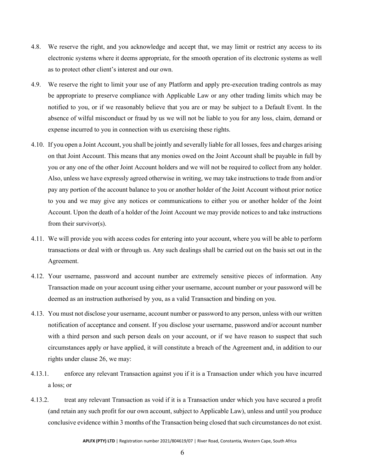- 4.8. We reserve the right, and you acknowledge and accept that, we may limit or restrict any access to its electronic systems where it deems appropriate, for the smooth operation of its electronic systems as well as to protect other client's interest and our own.
- 4.9. We reserve the right to limit your use of any Platform and apply pre-execution trading controls as may be appropriate to preserve compliance with Applicable Law or any other trading limits which may be notified to you, or if we reasonably believe that you are or may be subject to a Default Event. In the absence of wilful misconduct or fraud by us we will not be liable to you for any loss, claim, demand or expense incurred to you in connection with us exercising these rights.
- 4.10. If you open a Joint Account, you shall be jointly and severally liable for all losses, fees and charges arising on that Joint Account. This means that any monies owed on the Joint Account shall be payable in full by you or any one of the other Joint Account holders and we will not be required to collect from any holder. Also, unless we have expressly agreed otherwise in writing, we may take instructions to trade from and/or pay any portion of the account balance to you or another holder of the Joint Account without prior notice to you and we may give any notices or communications to either you or another holder of the Joint Account. Upon the death of a holder of the Joint Account we may provide notices to and take instructions from their survivor(s).
- 4.11. We will provide you with access codes for entering into your account, where you will be able to perform transactions or deal with or through us. Any such dealings shall be carried out on the basis set out in the Agreement.
- 4.12. Your username, password and account number are extremely sensitive pieces of information. Any Transaction made on your account using either your username, account number or your password will be deemed as an instruction authorised by you, as a valid Transaction and binding on you.
- 4.13. You must not disclose your username, account number or password to any person, unless with our written notification of acceptance and consent. If you disclose your username, password and/or account number with a third person and such person deals on your account, or if we have reason to suspect that such circumstances apply or have applied, it will constitute a breach of the Agreement and, in addition to our rights under clause 26, we may:
- 4.13.1. enforce any relevant Transaction against you if it is a Transaction under which you have incurred a loss; or
- 4.13.2. treat any relevant Transaction as void if it is a Transaction under which you have secured a profit (and retain any such profit for our own account, subject to Applicable Law), unless and until you produce conclusive evidence within 3 months of the Transaction being closed that such circumstances do not exist.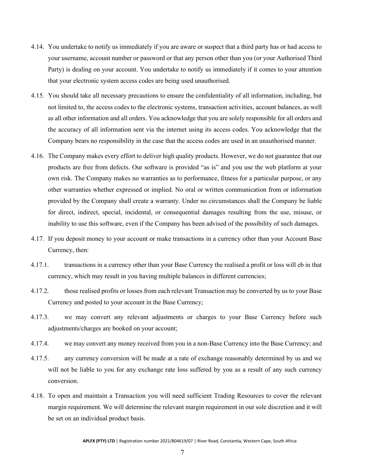- 4.14. You undertake to notify us immediately if you are aware or suspect that a third party has or had access to your username, account number or password or that any person other than you (or your Authorised Third Party) is dealing on your account. You undertake to notify us immediately if it comes to your attention that your electronic system access codes are being used unauthorised.
- 4.15. You should take all necessary precautions to ensure the confidentiality of all information, including, but not limited to, the access codes to the electronic systems, transaction activities, account balances, as well as all other information and all orders. You acknowledge that you are solely responsible for all orders and the accuracy of all information sent via the internet using its access codes. You acknowledge that the Company bears no responsibility in the case that the access codes are used in an unauthorised manner.
- 4.16. The Company makes every effort to deliver high quality products. However, we do not guarantee that our products are free from defects. Our software is provided "as is" and you use the web platform at your own risk. The Company makes no warranties as to performance, fitness for a particular purpose, or any other warranties whether expressed or implied. No oral or written communication from or information provided by the Company shall create a warranty. Under no circumstances shall the Company be liable for direct, indirect, special, incidental, or consequential damages resulting from the use, misuse, or inability to use this software, even if the Company has been advised of the possibility of such damages.
- 4.17. If you deposit money to your account or make transactions in a currency other than your Account Base Currency, then:
- 4.17.1. transactions in a currency other than your Base Currency the realised a profit or loss will eb in that currency, which may result in you having multiple balances in different currencies;
- 4.17.2. those realised profits or losses from each relevant Transaction may be converted by us to your Base Currency and posted to your account in the Base Currency;
- 4.17.3. we may convert any relevant adjustments or charges to your Base Currency before such adjustments/charges are booked on your account;
- 4.17.4. we may convert any money received from you in a non-Base Currency into the Base Currency; and
- 4.17.5. any currency conversion will be made at a rate of exchange reasonably determined by us and we will not be liable to you for any exchange rate loss suffered by you as a result of any such currency conversion.
- 4.18. To open and maintain a Transaction you will need sufficient Trading Resources to cover the relevant margin requirement. We will determine the relevant margin requirement in our sole discretion and it will be set on an individual product basis.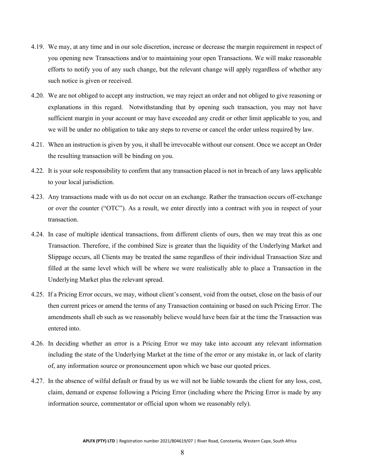- 4.19. We may, at any time and in our sole discretion, increase or decrease the margin requirement in respect of you opening new Transactions and/or to maintaining your open Transactions. We will make reasonable efforts to notify you of any such change, but the relevant change will apply regardless of whether any such notice is given or received.
- 4.20. We are not obliged to accept any instruction, we may reject an order and not obliged to give reasoning or explanations in this regard. Notwithstanding that by opening such transaction, you may not have sufficient margin in your account or may have exceeded any credit or other limit applicable to you, and we will be under no obligation to take any steps to reverse or cancel the order unless required by law.
- 4.21. When an instruction is given by you, it shall be irrevocable without our consent. Once we accept an Order the resulting transaction will be binding on you.
- 4.22. It is your sole responsibility to confirm that any transaction placed is not in breach of any laws applicable to your local jurisdiction.
- 4.23. Any transactions made with us do not occur on an exchange. Rather the transaction occurs off-exchange or over the counter ("OTC"). As a result, we enter directly into a contract with you in respect of your transaction.
- 4.24. In case of multiple identical transactions, from different clients of ours, then we may treat this as one Transaction. Therefore, if the combined Size is greater than the liquidity of the Underlying Market and Slippage occurs, all Clients may be treated the same regardless of their individual Transaction Size and filled at the same level which will be where we were realistically able to place a Transaction in the Underlying Market plus the relevant spread.
- 4.25. If a Pricing Error occurs, we may, without client's consent, void from the outset, close on the basis of our then current prices or amend the terms of any Transaction containing or based on such Pricing Error. The amendments shall eb such as we reasonably believe would have been fair at the time the Transaction was entered into.
- 4.26. In deciding whether an error is a Pricing Error we may take into account any relevant information including the state of the Underlying Market at the time of the error or any mistake in, or lack of clarity of, any information source or pronouncement upon which we base our quoted prices.
- 4.27. In the absence of wilful default or fraud by us we will not be liable towards the client for any loss, cost, claim, demand or expense following a Pricing Error (including where the Pricing Error is made by any information source, commentator or official upon whom we reasonably rely).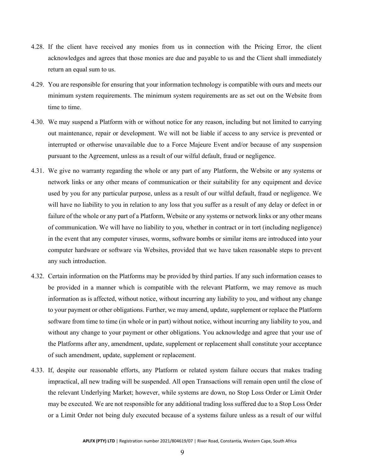- 4.28. If the client have received any monies from us in connection with the Pricing Error, the client acknowledges and agrees that those monies are due and payable to us and the Client shall immediately return an equal sum to us.
- 4.29. You are responsible for ensuring that your information technology is compatible with ours and meets our minimum system requirements. The minimum system requirements are as set out on the Website from time to time.
- 4.30. We may suspend a Platform with or without notice for any reason, including but not limited to carrying out maintenance, repair or development. We will not be liable if access to any service is prevented or interrupted or otherwise unavailable due to a Force Majeure Event and/or because of any suspension pursuant to the Agreement, unless as a result of our wilful default, fraud or negligence.
- 4.31. We give no warranty regarding the whole or any part of any Platform, the Website or any systems or network links or any other means of communication or their suitability for any equipment and device used by you for any particular purpose, unless as a result of our wilful default, fraud or negligence. We will have no liability to you in relation to any loss that you suffer as a result of any delay or defect in or failure of the whole or any part of a Platform, Website or any systems or network links or any other means of communication. We will have no liability to you, whether in contract or in tort (including negligence) in the event that any computer viruses, worms, software bombs or similar items are introduced into your computer hardware or software via Websites, provided that we have taken reasonable steps to prevent any such introduction.
- 4.32. Certain information on the Platforms may be provided by third parties. If any such information ceases to be provided in a manner which is compatible with the relevant Platform, we may remove as much information as is affected, without notice, without incurring any liability to you, and without any change to your payment or other obligations. Further, we may amend, update, supplement or replace the Platform software from time to time (in whole or in part) without notice, without incurring any liability to you, and without any change to your payment or other obligations. You acknowledge and agree that your use of the Platforms after any, amendment, update, supplement or replacement shall constitute your acceptance of such amendment, update, supplement or replacement.
- 4.33. If, despite our reasonable efforts, any Platform or related system failure occurs that makes trading impractical, all new trading will be suspended. All open Transactions will remain open until the close of the relevant Underlying Market; however, while systems are down, no Stop Loss Order or Limit Order may be executed. We are not responsible for any additional trading loss suffered due to a Stop Loss Order or a Limit Order not being duly executed because of a systems failure unless as a result of our wilful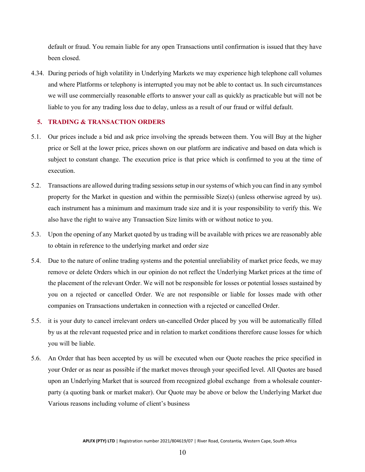default or fraud. You remain liable for any open Transactions until confirmation is issued that they have been closed.

4.34. During periods of high volatility in Underlying Markets we may experience high telephone call volumes and where Platforms or telephony is interrupted you may not be able to contact us. In such circumstances we will use commercially reasonable efforts to answer your call as quickly as practicable but will not be liable to you for any trading loss due to delay, unless as a result of our fraud or wilful default.

# <span id="page-12-0"></span>**5. TRADING & TRANSACTION ORDERS**

- 5.1. Our prices include a bid and ask price involving the spreads between them. You will Buy at the higher price or Sell at the lower price, prices shown on our platform are indicative and based on data which is subject to constant change. The execution price is that price which is confirmed to you at the time of execution.
- 5.2. Transactions are allowed during trading sessions setup in our systems of which you can find in any symbol property for the Market in question and within the permissible Size(s) (unless otherwise agreed by us). each instrument has a minimum and maximum trade size and it is your responsibility to verify this. We also have the right to waive any Transaction Size limits with or without notice to you.
- 5.3. Upon the opening of any Market quoted by us trading will be available with prices we are reasonably able to obtain in reference to the underlying market and order size
- 5.4. Due to the nature of online trading systems and the potential unreliability of market price feeds, we may remove or delete Orders which in our opinion do not reflect the Underlying Market prices at the time of the placement of the relevant Order. We will not be responsible for losses or potential losses sustained by you on a rejected or cancelled Order. We are not responsible or liable for losses made with other companies on Transactions undertaken in connection with a rejected or cancelled Order.
- 5.5. it is your duty to cancel irrelevant orders un-cancelled Order placed by you will be automatically filled by us at the relevant requested price and in relation to market conditions therefore cause losses for which you will be liable.
- 5.6. An Order that has been accepted by us will be executed when our Quote reaches the price specified in your Order or as near as possible if the market moves through your specified level. All Quotes are based upon an Underlying Market that is sourced from recognized global exchange from a wholesale counterparty (a quoting bank or market maker). Our Quote may be above or below the Underlying Market due Various reasons including volume of client's business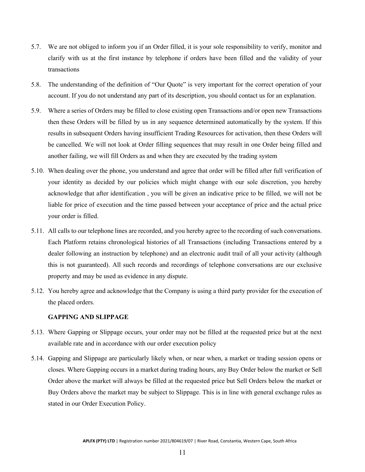- 5.7. We are not obliged to inform you if an Order filled, it is your sole responsibility to verify, monitor and clarify with us at the first instance by telephone if orders have been filled and the validity of your transactions
- 5.8. The understanding of the definition of "Our Quote" is very important for the correct operation of your account. If you do not understand any part of its description, you should contact us for an explanation.
- 5.9. Where a series of Orders may be filled to close existing open Transactions and/or open new Transactions then these Orders will be filled by us in any sequence determined automatically by the system. If this results in subsequent Orders having insufficient Trading Resources for activation, then these Orders will be cancelled. We will not look at Order filling sequences that may result in one Order being filled and another failing, we will fill Orders as and when they are executed by the trading system
- 5.10. When dealing over the phone, you understand and agree that order will be filled after full verification of your identity as decided by our policies which might change with our sole discretion, you hereby acknowledge that after identification , you will be given an indicative price to be filled, we will not be liable for price of execution and the time passed between your acceptance of price and the actual price your order is filled.
- 5.11. All calls to our telephone lines are recorded, and you hereby agree to the recording of such conversations. Each Platform retains chronological histories of all Transactions (including Transactions entered by a dealer following an instruction by telephone) and an electronic audit trail of all your activity (although this is not guaranteed). All such records and recordings of telephone conversations are our exclusive property and may be used as evidence in any dispute.
- 5.12. You hereby agree and acknowledge that the Company is using a third party provider for the execution of the placed orders.

#### <span id="page-13-0"></span>**GAPPING AND SLIPPAGE**

- 5.13. Where Gapping or Slippage occurs, your order may not be filled at the requested price but at the next available rate and in accordance with our order execution policy
- 5.14. Gapping and Slippage are particularly likely when, or near when, a market or trading session opens or closes. Where Gapping occurs in a market during trading hours, any Buy Order below the market or Sell Order above the market will always be filled at the requested price but Sell Orders below the market or Buy Orders above the market may be subject to Slippage. This is in line with general exchange rules as stated in our Order Execution Policy.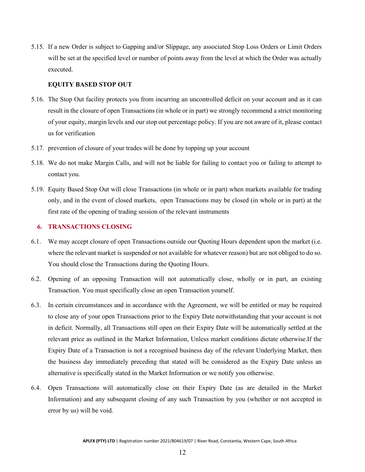5.15. If a new Order is subject to Gapping and/or Slippage, any associated Stop Loss Orders or Limit Orders will be set at the specified level or number of points away from the level at which the Order was actually executed.

#### <span id="page-14-0"></span>**EQUITY BASED STOP OUT**

- 5.16. The Stop Out facility protects you from incurring an uncontrolled deficit on your account and as it can result in the closure of open Transactions (in whole or in part) we strongly recommend a strict monitoring of your equity, margin levels and our stop out percentage policy. If you are not aware of it, please contact us for verification
- 5.17. prevention of closure of your trades will be done by topping up your account
- 5.18. We do not make Margin Calls, and will not be liable for failing to contact you or failing to attempt to contact you.
- 5.19. Equity Based Stop Out will close Transactions (in whole or in part) when markets available for trading only, and in the event of closed markets, open Transactions may be closed (in whole or in part) at the first rate of the opening of trading session of the relevant instruments

# <span id="page-14-1"></span>**6. TRANSACTIONS CLOSING**

- 6.1. We may accept closure of open Transactions outside our Quoting Hours dependent upon the market (i.e. where the relevant market is suspended or not available for whatever reason) but are not obliged to do so. You should close the Transactions during the Quoting Hours.
- 6.2. Opening of an opposing Transaction will not automatically close, wholly or in part, an existing Transaction. You must specifically close an open Transaction yourself.
- 6.3. In certain circumstances and in accordance with the Agreement, we will be entitled or may be required to close any of your open Transactions prior to the Expiry Date notwithstanding that your account is not in deficit. Normally, all Transactions still open on their Expiry Date will be automatically settled at the relevant price as outlined in the Market Information, Unless market conditions dictate otherwise.If the Expiry Date of a Transaction is not a recognised business day of the relevant Underlying Market, then the business day immediately preceding that stated will be considered as the Expiry Date unless an alternative is specifically stated in the Market Information or we notify you otherwise.
- 6.4. Open Transactions will automatically close on their Expiry Date (as are detailed in the Market Information) and any subsequent closing of any such Transaction by you (whether or not accepted in error by us) will be void.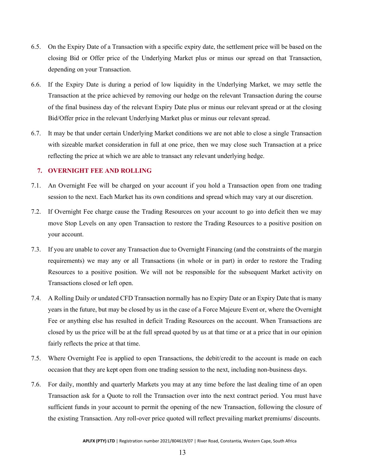- 6.5. On the Expiry Date of a Transaction with a specific expiry date, the settlement price will be based on the closing Bid or Offer price of the Underlying Market plus or minus our spread on that Transaction, depending on your Transaction.
- 6.6. If the Expiry Date is during a period of low liquidity in the Underlying Market, we may settle the Transaction at the price achieved by removing our hedge on the relevant Transaction during the course of the final business day of the relevant Expiry Date plus or minus our relevant spread or at the closing Bid/Offer price in the relevant Underlying Market plus or minus our relevant spread.
- 6.7. It may be that under certain Underlying Market conditions we are not able to close a single Transaction with sizeable market consideration in full at one price, then we may close such Transaction at a price reflecting the price at which we are able to transact any relevant underlying hedge.

# <span id="page-15-0"></span>**7. OVERNIGHT FEE AND ROLLING**

- 7.1. An Overnight Fee will be charged on your account if you hold a Transaction open from one trading session to the next. Each Market has its own conditions and spread which may vary at our discretion.
- 7.2. If Overnight Fee charge cause the Trading Resources on your account to go into deficit then we may move Stop Levels on any open Transaction to restore the Trading Resources to a positive position on your account.
- 7.3. If you are unable to cover any Transaction due to Overnight Financing (and the constraints of the margin requirements) we may any or all Transactions (in whole or in part) in order to restore the Trading Resources to a positive position. We will not be responsible for the subsequent Market activity on Transactions closed or left open.
- 7.4. A Rolling Daily or undated CFD Transaction normally has no Expiry Date or an Expiry Date that is many years in the future, but may be closed by us in the case of a Force Majeure Event or, where the Overnight Fee or anything else has resulted in deficit Trading Resources on the account. When Transactions are closed by us the price will be at the full spread quoted by us at that time or at a price that in our opinion fairly reflects the price at that time.
- 7.5. Where Overnight Fee is applied to open Transactions, the debit/credit to the account is made on each occasion that they are kept open from one trading session to the next, including non-business days.
- 7.6. For daily, monthly and quarterly Markets you may at any time before the last dealing time of an open Transaction ask for a Quote to roll the Transaction over into the next contract period. You must have sufficient funds in your account to permit the opening of the new Transaction, following the closure of the existing Transaction. Any roll-over price quoted will reflect prevailing market premiums/ discounts.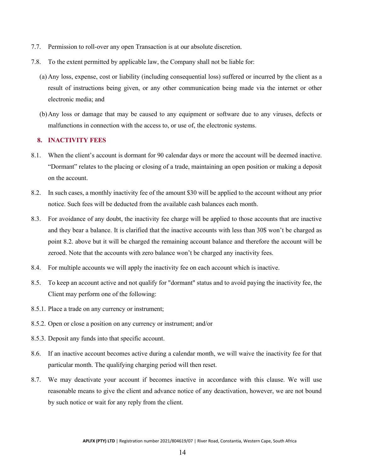- 7.7. Permission to roll-over any open Transaction is at our absolute discretion.
- 7.8. To the extent permitted by applicable law, the Company shall not be liable for:
	- (a) Any loss, expense, cost or liability (including consequential loss) suffered or incurred by the client as a result of instructions being given, or any other communication being made via the internet or other electronic media; and
	- (b)Any loss or damage that may be caused to any equipment or software due to any viruses, defects or malfunctions in connection with the access to, or use of, the electronic systems.

#### <span id="page-16-0"></span>**8. INACTIVITY FEES**

- 8.1. When the client's account is dormant for 90 calendar days or more the account will be deemed inactive. "Dormant" relates to the placing or closing of a trade, maintaining an open position or making a deposit on the account.
- 8.2. In such cases, a monthly inactivity fee of the amount \$30 will be applied to the account without any prior notice. Such fees will be deducted from the available cash balances each month.
- 8.3. For avoidance of any doubt, the inactivity fee charge will be applied to those accounts that are inactive and they bear a balance. It is clarified that the inactive accounts with less than 30\$ won't be charged as point 8.2. above but it will be charged the remaining account balance and therefore the account will be zeroed. Note that the accounts with zero balance won't be charged any inactivity fees.
- 8.4. For multiple accounts we will apply the inactivity fee on each account which is inactive.
- 8.5. To keep an account active and not qualify for "dormant" status and to avoid paying the inactivity fee, the Client may perform one of the following:
- 8.5.1. Place a trade on any currency or instrument;
- 8.5.2. Open or close a position on any currency or instrument; and/or
- 8.5.3. Deposit any funds into that specific account.
- 8.6. If an inactive account becomes active during a calendar month, we will waive the inactivity fee for that particular month. The qualifying charging period will then reset.
- 8.7. We may deactivate your account if becomes inactive in accordance with this clause. We will use reasonable means to give the client and advance notice of any deactivation, however, we are not bound by such notice or wait for any reply from the client.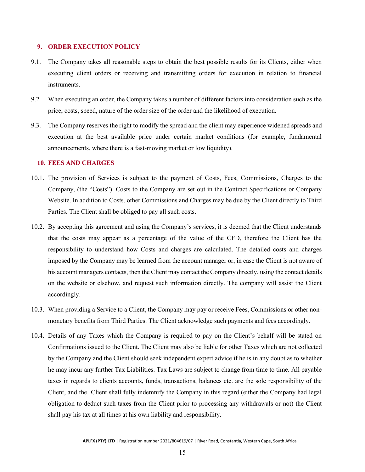#### <span id="page-17-0"></span>**9. ORDER EXECUTION POLICY**

- 9.1. The Company takes all reasonable steps to obtain the best possible results for its Clients, either when executing client orders or receiving and transmitting orders for execution in relation to financial instruments.
- 9.2. When executing an order, the Company takes a number of different factors into consideration such as the price, costs, speed, nature of the order size of the order and the likelihood of execution.
- 9.3. The Company reserves the right to modify the spread and the client may experience widened spreads and execution at the best available price under certain market conditions (for example, fundamental announcements, where there is a fast-moving market or low liquidity).

#### <span id="page-17-1"></span>**10. FEES AND CHARGES**

- 10.1. The provision of Services is subject to the payment of Costs, Fees, Commissions, Charges to the Company, (the "Costs"). Costs to the Company are set out in the Contract Specifications or Company Website. In addition to Costs, other Commissions and Charges may be due by the Client directly to Third Parties. The Client shall be obliged to pay all such costs.
- 10.2. By accepting this agreement and using the Company's services, it is deemed that the Client understands that the costs may appear as a percentage of the value of the CFD, therefore the Client has the responsibility to understand how Costs and charges are calculated. The detailed costs and charges imposed by the Company may be learned from the account manager or, in case the Client is not aware of his account managers contacts, then the Client may contact the Company directly, using the contact details on the website or elsehow, and request such information directly. The company will assist the Client accordingly.
- 10.3. When providing a Service to a Client, the Company may pay or receive Fees, Commissions or other nonmonetary benefits from Third Parties. The Client acknowledge such payments and fees accordingly.
- 10.4. Details of any Taxes which the Company is required to pay on the Client's behalf will be stated on Confirmations issued to the Client. The Client may also be liable for other Taxes which are not collected by the Company and the Client should seek independent expert advice if he is in any doubt as to whether he may incur any further Tax Liabilities. Tax Laws are subject to change from time to time. All payable taxes in regards to clients accounts, funds, transactions, balances etc. are the sole responsibility of the Client, and the Client shall fully indemnify the Company in this regard (either the Company had legal obligation to deduct such taxes from the Client prior to processing any withdrawals or not) the Client shall pay his tax at all times at his own liability and responsibility.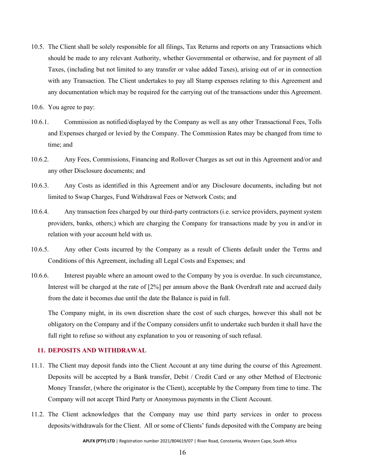- 10.5. The Client shall be solely responsible for all filings, Tax Returns and reports on any Transactions which should be made to any relevant Authority, whether Governmental or otherwise, and for payment of all Taxes, (including but not limited to any transfer or value added Taxes), arising out of or in connection with any Transaction. The Client undertakes to pay all Stamp expenses relating to this Agreement and any documentation which may be required for the carrying out of the transactions under this Agreement.
- 10.6. You agree to pay:
- 10.6.1. Commission as notified/displayed by the Company as well as any other Transactional Fees, Tolls and Expenses charged or levied by the Company. The Commission Rates may be changed from time to time; and
- 10.6.2. Any Fees, Commissions, Financing and Rollover Charges as set out in this Agreement and/or and any other Disclosure documents; and
- 10.6.3. Any Costs as identified in this Agreement and/or any Disclosure documents, including but not limited to Swap Charges, Fund Withdrawal Fees or Network Costs; and
- 10.6.4. Any transaction fees charged by our third-party contractors (i.e. service providers, payment system providers, banks, others;) which are charging the Company for transactions made by you in and/or in relation with your account held with us.
- 10.6.5. Any other Costs incurred by the Company as a result of Clients default under the Terms and Conditions of this Agreement, including all Legal Costs and Expenses; and
- 10.6.6. Interest payable where an amount owed to the Company by you is overdue. In such circumstance, Interest will be charged at the rate of [2%] per annum above the Bank Overdraft rate and accrued daily from the date it becomes due until the date the Balance is paid in full.

The Company might, in its own discretion share the cost of such charges, however this shall not be obligatory on the Company and if the Company considers unfit to undertake such burden it shall have the full right to refuse so without any explanation to you or reasoning of such refusal.

# <span id="page-18-0"></span>**11. DEPOSITS AND WITHDRAWAL**

- 11.1. The Client may deposit funds into the Client Account at any time during the course of this Agreement. Deposits will be accepted by a Bank transfer, Debit / Credit Card or any other Method of Electronic Money Transfer, (where the originator is the Client), acceptable by the Company from time to time. The Company will not accept Third Party or Anonymous payments in the Client Account.
- 11.2. The Client acknowledges that the Company may use third party services in order to process deposits/withdrawals for the Client. All or some of Clients' funds deposited with the Company are being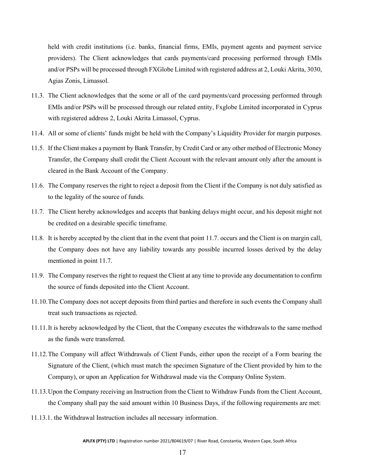held with credit institutions (i.e. banks, financial firms, EMIs, payment agents and payment service providers). The Client acknowledges that cards payments/card processing performed through EMIs and/or PSPs will be processed through FXGlobe Limited with registered address at 2, Louki Akrita, 3030, Agias Zonis, Limassol.

- 11.3. The Client acknowledges that the some or all of the card payments/card processing performed through EMIs and/or PSPs will be processed through our related entity, Fxglobe Limited incorporated in Cyprus with registered address 2, Louki Akrita Limassol, Cyprus.
- 11.4. All or some of clients' funds might be held with the Company's Liquidity Provider for margin purposes.
- 11.5. If the Client makes a payment by Bank Transfer, by Credit Card or any other method of Electronic Money Transfer, the Company shall credit the Client Account with the relevant amount only after the amount is cleared in the Bank Account of the Company.
- 11.6. The Company reserves the right to reject a deposit from the Client if the Company is not duly satisfied as to the legality of the source of funds.
- 11.7. The Client hereby acknowledges and accepts that banking delays might occur, and his deposit might not be credited on a desirable specific timeframe.
- 11.8. It is hereby accepted by the client that in the event that point 11.7. occurs and the Client is on margin call, the Company does not have any liability towards any possible incurred losses derived by the delay mentioned in point 11.7.
- 11.9. The Company reserves the right to request the Client at any time to provide any documentation to confirm the source of funds deposited into the Client Account.
- 11.10.The Company does not accept deposits from third parties and therefore in such events the Company shall treat such transactions as rejected.
- 11.11.It is hereby acknowledged by the Client, that the Company executes the withdrawals to the same method as the funds were transferred.
- 11.12.The Company will affect Withdrawals of Client Funds, either upon the receipt of a Form bearing the Signature of the Client, (which must match the specimen Signature of the Client provided by him to the Company), or upon an Application for Withdrawal made via the Company Online System.
- 11.13.Upon the Company receiving an Instruction from the Client to Withdraw Funds from the Client Account, the Company shall pay the said amount within 10 Business Days, if the following requirements are met:
- 11.13.1. the Withdrawal Instruction includes all necessary information.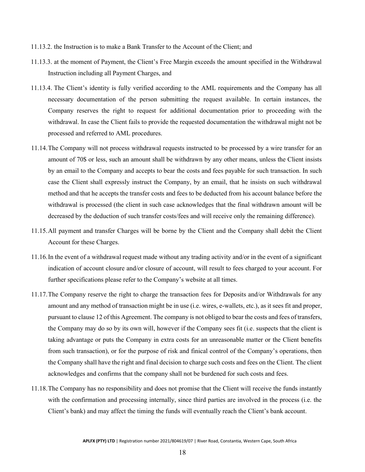- 11.13.2. the Instruction is to make a Bank Transfer to the Account of the Client; and
- 11.13.3. at the moment of Payment, the Client's Free Margin exceeds the amount specified in the Withdrawal Instruction including all Payment Charges, and
- 11.13.4. The Client's identity is fully verified according to the AML requirements and the Company has all necessary documentation of the person submitting the request available. In certain instances, the Company reserves the right to request for additional documentation prior to proceeding with the withdrawal. In case the Client fails to provide the requested documentation the withdrawal might not be processed and referred to AML procedures.
- 11.14.The Company will not process withdrawal requests instructed to be processed by a wire transfer for an amount of 70\$ or less, such an amount shall be withdrawn by any other means, unless the Client insists by an email to the Company and accepts to bear the costs and fees payable for such transaction. In such case the Client shall expressly instruct the Company, by an email, that he insists on such withdrawal method and that he accepts the transfer costs and fees to be deducted from his account balance before the withdrawal is processed (the client in such case acknowledges that the final withdrawn amount will be decreased by the deduction of such transfer costs/fees and will receive only the remaining difference).
- 11.15.All payment and transfer Charges will be borne by the Client and the Company shall debit the Client Account for these Charges.
- 11.16.In the event of a withdrawal request made without any trading activity and/or in the event of a significant indication of account closure and/or closure of account, will result to fees charged to your account. For further specifications please refer to the Company's website at all times.
- 11.17.The Company reserve the right to charge the transaction fees for Deposits and/or Withdrawals for any amount and any method of transaction might be in use (i.e. wires, e-wallets, etc.), as it sees fit and proper, pursuant to clause 12 of this Agreement. The company is not obliged to bear the costs and fees of transfers, the Company may do so by its own will, however if the Company sees fit (i.e. suspects that the client is taking advantage or puts the Company in extra costs for an unreasonable matter or the Client benefits from such transaction), or for the purpose of risk and finical control of the Company's operations, then the Company shall have the right and final decision to charge such costs and fees on the Client. The client acknowledges and confirms that the company shall not be burdened for such costs and fees.
- 11.18.The Company has no responsibility and does not promise that the Client will receive the funds instantly with the confirmation and processing internally, since third parties are involved in the process (i.e. the Client's bank) and may affect the timing the funds will eventually reach the Client's bank account.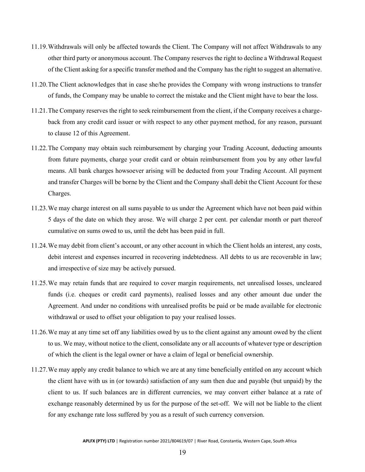- 11.19.Withdrawals will only be affected towards the Client. The Company will not affect Withdrawals to any other third party or anonymous account. The Company reserves the right to decline a Withdrawal Request of the Client asking for a specific transfer method and the Company has the right to suggest an alternative.
- 11.20.The Client acknowledges that in case she/he provides the Company with wrong instructions to transfer of funds, the Company may be unable to correct the mistake and the Client might have to bear the loss.
- 11.21.The Company reserves the right to seek reimbursement from the client, if the Company receives a chargeback from any credit card issuer or with respect to any other payment method, for any reason, pursuant to clause 12 of this Agreement.
- 11.22.The Company may obtain such reimbursement by charging your Trading Account, deducting amounts from future payments, charge your credit card or obtain reimbursement from you by any other lawful means. All bank charges howsoever arising will be deducted from your Trading Account. All payment and transfer Charges will be borne by the Client and the Company shall debit the Client Account for these Charges.
- 11.23.We may charge interest on all sums payable to us under the Agreement which have not been paid within 5 days of the date on which they arose. We will charge 2 per cent. per calendar month or part thereof cumulative on sums owed to us, until the debt has been paid in full.
- 11.24.We may debit from client's account, or any other account in which the Client holds an interest, any costs, debit interest and expenses incurred in recovering indebtedness. All debts to us are recoverable in law; and irrespective of size may be actively pursued.
- 11.25.We may retain funds that are required to cover margin requirements, net unrealised losses, uncleared funds (i.e. cheques or credit card payments), realised losses and any other amount due under the Agreement. And under no conditions with unrealised profits be paid or be made available for electronic withdrawal or used to offset your obligation to pay your realised losses.
- 11.26.We may at any time set off any liabilities owed by us to the client against any amount owed by the client to us. We may, without notice to the client, consolidate any or all accounts of whatever type or description of which the client is the legal owner or have a claim of legal or beneficial ownership.
- 11.27.We may apply any credit balance to which we are at any time beneficially entitled on any account which the client have with us in (or towards) satisfaction of any sum then due and payable (but unpaid) by the client to us. If such balances are in different currencies, we may convert either balance at a rate of exchange reasonably determined by us for the purpose of the set-off. We will not be liable to the client for any exchange rate loss suffered by you as a result of such currency conversion.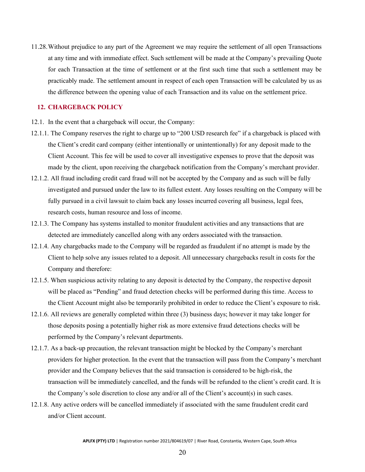11.28.Without prejudice to any part of the Agreement we may require the settlement of all open Transactions at any time and with immediate effect. Such settlement will be made at the Company's prevailing Quote for each Transaction at the time of settlement or at the first such time that such a settlement may be practicably made. The settlement amount in respect of each open Transaction will be calculated by us as the difference between the opening value of each Transaction and its value on the settlement price.

#### <span id="page-22-0"></span>**12. CHARGEBACK POLICY**

- 12.1. In the event that a chargeback will occur, the Company:
- 12.1.1. The Company reserves the right to charge up to "200 USD research fee" if a chargeback is placed with the Client's credit card company (either intentionally or unintentionally) for any deposit made to the Client Account. This fee will be used to cover all investigative expenses to prove that the deposit was made by the client, upon receiving the chargeback notification from the Company's merchant provider.
- 12.1.2. All fraud including credit card fraud will not be accepted by the Company and as such will be fully investigated and pursued under the law to its fullest extent. Any losses resulting on the Company will be fully pursued in a civil lawsuit to claim back any losses incurred covering all business, legal fees, research costs, human resource and loss of income.
- 12.1.3. The Company has systems installed to monitor fraudulent activities and any transactions that are detected are immediately cancelled along with any orders associated with the transaction.
- 12.1.4. Any chargebacks made to the Company will be regarded as fraudulent if no attempt is made by the Client to help solve any issues related to a deposit. All unnecessary chargebacks result in costs for the Company and therefore:
- 12.1.5. When suspicious activity relating to any deposit is detected by the Company, the respective deposit will be placed as "Pending" and fraud detection checks will be performed during this time. Access to the Client Account might also be temporarily prohibited in order to reduce the Client's exposure to risk.
- 12.1.6. All reviews are generally completed within three (3) business days; however it may take longer for those deposits posing a potentially higher risk as more extensive fraud detections checks will be performed by the Company's relevant departments.
- 12.1.7. As a back-up precaution, the relevant transaction might be blocked by the Company's merchant providers for higher protection. In the event that the transaction will pass from the Company's merchant provider and the Company believes that the said transaction is considered to be high-risk, the transaction will be immediately cancelled, and the funds will be refunded to the client's credit card. It is the Company's sole discretion to close any and/or all of the Client's account(s) in such cases.
- 12.1.8. Any active orders will be cancelled immediately if associated with the same fraudulent credit card and/or Client account.

20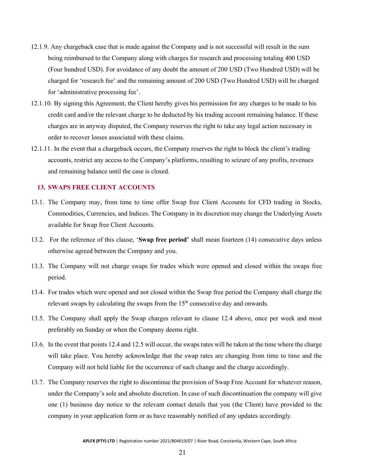- 12.1.9. Any chargeback case that is made against the Company and is not successful will result in the sum being reimbursed to the Company along with charges for research and processing totaling 400 USD (Four hundred USD). For avoidance of any doubt the amount of 200 USD (Two Hundred USD) will be charged for 'research fee' and the remaining amount of 200 USD (Two Hundred USD) will be charged for 'administrative processing fee'.
- 12.1.10. By signing this Agreement, the Client hereby gives his permission for any charges to be made to his credit card and/or the relevant charge to be deducted by his trading account remaining balance. If these charges are in anyway disputed, the Company reserves the right to take any legal action necessary in order to recover losses associated with these claims.
- 12.1.11. In the event that a chargeback occurs, the Company reserves the right to block the client's trading accounts, restrict any access to the Company's platforms, resulting to seizure of any profits, revenues and remaining balance until the case is closed.

# <span id="page-23-0"></span>**13. SWAPS FREE CLIENT ACCOUNTS**

- 13.1. The Company may, from time to time offer Swap free Client Accounts for CFD trading in Stocks, Commodities, Currencies, and Indices. The Company in its discretion may change the Underlying Assets available for Swap free Client Accounts.
- 13.2. For the reference of this clause, '**Swap free period'** shall mean fourteen (14) consecutive days unless otherwise agreed between the Company and you.
- 13.3. The Company will not charge swaps for trades which were opened and closed within the swaps free period.
- 13.4. For trades which were opened and not closed within the Swap free period the Company shall charge the relevant swaps by calculating the swaps from the  $15<sup>th</sup>$  consecutive day and onwards.
- 13.5. The Company shall apply the Swap charges relevant to clause 12.4 above, once per week and most preferably on Sunday or when the Company deems right.
- 13.6. In the event that points 12.4 and 12.5 will occur, the swaps rates will be taken at the time where the charge will take place. You hereby acknowledge that the swap rates are changing from time to time and the Company will not held liable for the occurrence of such change and the charge accordingly.
- 13.7. The Company reserves the right to discontinue the provision of Swap Free Account for whatever reason, under the Company's sole and absolute discretion. In case of such discontinuation the company will give one (1) business day notice to the relevant contact details that you (the Client) have provided to the company in your application form or as have reasonably notified of any updates accordingly.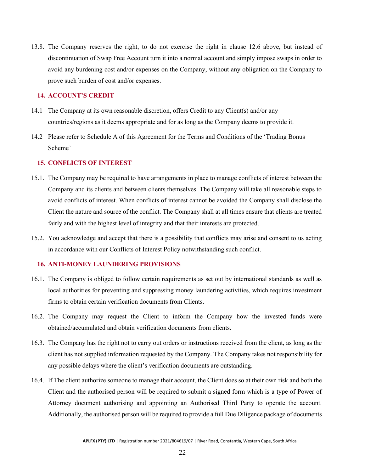13.8. The Company reserves the right, to do not exercise the right in clause 12.6 above, but instead of discontinuation of Swap Free Account turn it into a normal account and simply impose swaps in order to avoid any burdening cost and/or expenses on the Company, without any obligation on the Company to prove such burden of cost and/or expenses.

#### <span id="page-24-0"></span>**14. ACCOUNT'S CREDIT**

- 14.1 The Company at its own reasonable discretion, offers Credit to any Client(s) and/or any countries/regions as it deems appropriate and for as long as the Company deems to provide it.
- 14.2 Please refer to Schedule A of this Agreement for the Terms and Conditions of the 'Trading Bonus Scheme'

#### <span id="page-24-1"></span>**15. CONFLICTS OF INTEREST**

- 15.1. The Company may be required to have arrangements in place to manage conflicts of interest between the Company and its clients and between clients themselves. The Company will take all reasonable steps to avoid conflicts of interest. When conflicts of interest cannot be avoided the Company shall disclose the Client the nature and source of the conflict. The Company shall at all times ensure that clients are treated fairly and with the highest level of integrity and that their interests are protected.
- 15.2. You acknowledge and accept that there is a possibility that conflicts may arise and consent to us acting in accordance with our Conflicts of Interest Policy notwithstanding such conflict.

#### <span id="page-24-2"></span>**16. ANTI-MONEY LAUNDERING PROVISIONS**

- 16.1. The Company is obliged to follow certain requirements as set out by international standards as well as local authorities for preventing and suppressing money laundering activities, which requires investment firms to obtain certain verification documents from Clients.
- 16.2. The Company may request the Client to inform the Company how the invested funds were obtained/accumulated and obtain verification documents from clients.
- 16.3. The Company has the right not to carry out orders or instructions received from the client, as long as the client has not supplied information requested by the Company. The Company takes not responsibility for any possible delays where the client's verification documents are outstanding.
- 16.4. If The client authorize someone to manage their account, the Client does so at their own risk and both the Client and the authorised person will be required to submit a signed form which is a type of Power of Attorney document authorising and appointing an Authorised Third Party to operate the account. Additionally, the authorised person will be required to provide a full Due Diligence package of documents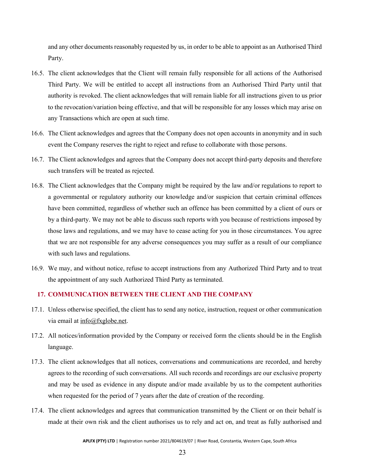and any other documents reasonably requested by us, in order to be able to appoint as an Authorised Third Party.

- 16.5. The client acknowledges that the Client will remain fully responsible for all actions of the Authorised Third Party. We will be entitled to accept all instructions from an Authorised Third Party until that authority is revoked. The client acknowledges that will remain liable for all instructions given to us prior to the revocation/variation being effective, and that will be responsible for any losses which may arise on any Transactions which are open at such time.
- 16.6. The Client acknowledges and agrees that the Company does not open accounts in anonymity and in such event the Company reserves the right to reject and refuse to collaborate with those persons.
- 16.7. The Client acknowledges and agrees that the Company does not accept third-party deposits and therefore such transfers will be treated as rejected.
- 16.8. The Client acknowledges that the Company might be required by the law and/or regulations to report to a governmental or regulatory authority our knowledge and/or suspicion that certain criminal offences have been committed, regardless of whether such an offence has been committed by a client of ours or by a third-party. We may not be able to discuss such reports with you because of restrictions imposed by those laws and regulations, and we may have to cease acting for you in those circumstances. You agree that we are not responsible for any adverse consequences you may suffer as a result of our compliance with such laws and regulations.
- 16.9. We may, and without notice, refuse to accept instructions from any Authorized Third Party and to treat the appointment of any such Authorized Third Party as terminated.

# <span id="page-25-0"></span>**17. COMMUNICATION BETWEEN THE CLIENT AND THE COMPANY**

- 17.1. Unless otherwise specified, the client has to send any notice, instruction, request or other communication via email at [info@fxglobe.net.](mailto:info@fxglobe.net)
- 17.2. All notices/information provided by the Company or received form the clients should be in the English language.
- 17.3. The client acknowledges that all notices, conversations and communications are recorded, and hereby agrees to the recording of such conversations. All such records and recordings are our exclusive property and may be used as evidence in any dispute and/or made available by us to the competent authorities when requested for the period of 7 years after the date of creation of the recording.
- 17.4. The client acknowledges and agrees that communication transmitted by the Client or on their behalf is made at their own risk and the client authorises us to rely and act on, and treat as fully authorised and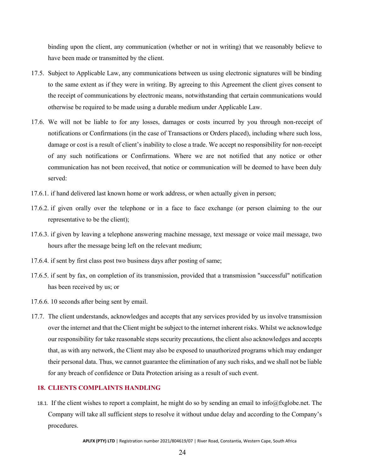binding upon the client, any communication (whether or not in writing) that we reasonably believe to have been made or transmitted by the client.

- 17.5. Subject to Applicable Law, any communications between us using electronic signatures will be binding to the same extent as if they were in writing. By agreeing to this Agreement the client gives consent to the receipt of communications by electronic means, notwithstanding that certain communications would otherwise be required to be made using a durable medium under Applicable Law.
- 17.6. We will not be liable to for any losses, damages or costs incurred by you through non-receipt of notifications or Confirmations (in the case of Transactions or Orders placed), including where such loss, damage or cost is a result of client's inability to close a trade. We accept no responsibility for non-receipt of any such notifications or Confirmations. Where we are not notified that any notice or other communication has not been received, that notice or communication will be deemed to have been duly served:
- 17.6.1. if hand delivered last known home or work address, or when actually given in person;
- 17.6.2. if given orally over the telephone or in a face to face exchange (or person claiming to the our representative to be the client);
- 17.6.3. if given by leaving a telephone answering machine message, text message or voice mail message, two hours after the message being left on the relevant medium;
- 17.6.4. if sent by first class post two business days after posting of same;
- 17.6.5. if sent by fax, on completion of its transmission, provided that a transmission "successful" notification has been received by us; or
- 17.6.6. 10 seconds after being sent by email.
- 17.7. The client understands, acknowledges and accepts that any services provided by us involve transmission over the internet and that the Client might be subject to the internet inherent risks. Whilst we acknowledge our responsibility for take reasonable steps security precautions, the client also acknowledges and accepts that, as with any network, the Client may also be exposed to unauthorized programs which may endanger their personal data. Thus, we cannot guarantee the elimination of any such risks, and we shall not be liable for any breach of confidence or Data Protection arising as a result of such event.

# <span id="page-26-0"></span>**18. CLIENTS COMPLAINTS HANDLING**

18.1. If the client wishes to report a complaint, he might do so by sending an email to [info@fxglobe.net.](mailto:info@fxglobe.net) The Company will take all sufficient steps to resolve it without undue delay and according to the Company's procedures.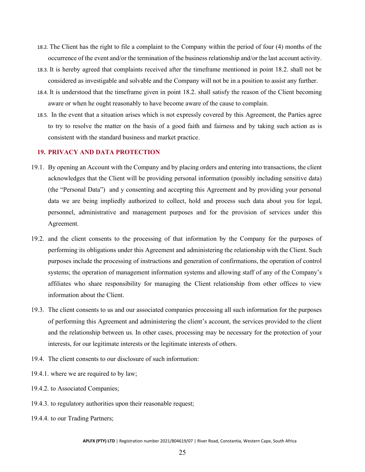- 18.2. The Client has the right to file a complaint to the Company within the period of four (4) months of the occurrence of the event and/or the termination of the business relationship and/or the last account activity.
- 18.3. It is hereby agreed that complaints received after the timeframe mentioned in point 18.2. shall not be considered as investigable and solvable and the Company will not be in a position to assist any further.
- 18.4. It is understood that the timeframe given in point 18.2. shall satisfy the reason of the Client becoming aware or when he ought reasonably to have become aware of the cause to complain.
- 18.5. In the event that a situation arises which is not expressly covered by this Agreement, the Parties agree to try to resolve the matter on the basis of a good faith and fairness and by taking such action as is consistent with the standard business and market practice.

#### <span id="page-27-0"></span>**19. PRIVACY AND DATA PROTECTION**

- 19.1. By opening an Account with the Company and by placing orders and entering into transactions, the client acknowledges that the Client will be providing personal information (possibly including sensitive data) (the "Personal Data") and y consenting and accepting this Agreement and by providing your personal data we are being impliedly authorized to collect, hold and process such data about you for legal, personnel, administrative and management purposes and for the provision of services under this Agreement.
- 19.2. and the client consents to the processing of that information by the Company for the purposes of performing its obligations under this Agreement and administering the relationship with the Client. Such purposes include the processing of instructions and generation of confirmations, the operation of control systems; the operation of management information systems and allowing staff of any of the Company's affiliates who share responsibility for managing the Client relationship from other offices to view information about the Client.
- 19.3. The client consents to us and our associated companies processing all such information for the purposes of performing this Agreement and administering the client's account, the services provided to the client and the relationship between us. In other cases, processing may be necessary for the protection of your interests, for our legitimate interests or the legitimate interests of others.
- 19.4. The client consents to our disclosure of such information:
- 19.4.1. where we are required to by law;
- 19.4.2. to Associated Companies;
- 19.4.3. to regulatory authorities upon their reasonable request;
- 19.4.4. to our Trading Partners;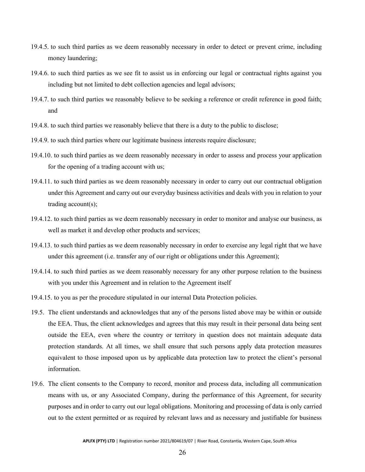- 19.4.5. to such third parties as we deem reasonably necessary in order to detect or prevent crime, including money laundering;
- 19.4.6. to such third parties as we see fit to assist us in enforcing our legal or contractual rights against you including but not limited to debt collection agencies and legal advisors;
- 19.4.7. to such third parties we reasonably believe to be seeking a reference or credit reference in good faith; and
- 19.4.8. to such third parties we reasonably believe that there is a duty to the public to disclose;
- 19.4.9. to such third parties where our legitimate business interests require disclosure;
- 19.4.10. to such third parties as we deem reasonably necessary in order to assess and process your application for the opening of a trading account with us;
- 19.4.11. to such third parties as we deem reasonably necessary in order to carry out our contractual obligation under this Agreement and carry out our everyday business activities and deals with you in relation to your trading account(s);
- 19.4.12. to such third parties as we deem reasonably necessary in order to monitor and analyse our business, as well as market it and develop other products and services;
- 19.4.13. to such third parties as we deem reasonably necessary in order to exercise any legal right that we have under this agreement (i.e. transfer any of our right or obligations under this Agreement);
- 19.4.14. to such third parties as we deem reasonably necessary for any other purpose relation to the business with you under this Agreement and in relation to the Agreement itself
- 19.4.15. to you as per the procedure stipulated in our internal Data Protection policies.
- 19.5. The client understands and acknowledges that any of the persons listed above may be within or outside the EEA. Thus, the client acknowledges and agrees that this may result in their personal data being sent outside the EEA, even where the country or territory in question does not maintain adequate data protection standards. At all times, we shall ensure that such persons apply data protection measures equivalent to those imposed upon us by applicable data protection law to protect the client's personal information.
- 19.6. The client consents to the Company to record, monitor and process data, including all communication means with us, or any Associated Company, during the performance of this Agreement, for security purposes and in order to carry out our legal obligations. Monitoring and processing of data is only carried out to the extent permitted or as required by relevant laws and as necessary and justifiable for business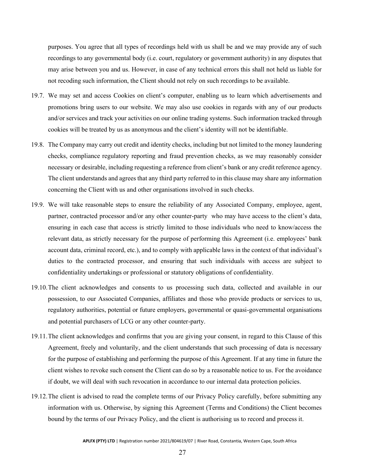purposes. You agree that all types of recordings held with us shall be and we may provide any of such recordings to any governmental body (i.e. court, regulatory or government authority) in any disputes that may arise between you and us. However, in case of any technical errors this shall not held us liable for not recoding such information, the Client should not rely on such recordings to be available.

- 19.7. We may set and access Cookies on client's computer, enabling us to learn which advertisements and promotions bring users to our website. We may also use cookies in regards with any of our products and/or services and track your activities on our online trading systems. Such information tracked through cookies will be treated by us as anonymous and the client's identity will not be identifiable.
- 19.8. The Company may carry out credit and identity checks, including but not limited to the money laundering checks, compliance regulatory reporting and fraud prevention checks, as we may reasonably consider necessary or desirable, including requesting a reference from client's bank or any credit reference agency. The client understands and agrees that any third party referred to in this clause may share any information concerning the Client with us and other organisations involved in such checks.
- 19.9. We will take reasonable steps to ensure the reliability of any Associated Company, employee, agent, partner, contracted processor and/or any other counter-party who may have access to the client's data, ensuring in each case that access is strictly limited to those individuals who need to know/access the relevant data, as strictly necessary for the purpose of performing this Agreement (i.e. employees' bank account data, criminal record, etc.), and to comply with applicable laws in the context of that individual's duties to the contracted processor, and ensuring that such individuals with access are subject to confidentiality undertakings or professional or statutory obligations of confidentiality.
- 19.10.The client acknowledges and consents to us processing such data, collected and available in our possession, to our Associated Companies, affiliates and those who provide products or services to us, regulatory authorities, potential or future employers, governmental or quasi-governmental organisations and potential purchasers of LCG or any other counter-party.
- 19.11.The client acknowledges and confirms that you are giving your consent, in regard to this Clause of this Agreement, freely and voluntarily, and the client understands that such processing of data is necessary for the purpose of establishing and performing the purpose of this Agreement. If at any time in future the client wishes to revoke such consent the Client can do so by a reasonable notice to us. For the avoidance if doubt, we will deal with such revocation in accordance to our internal data protection policies.
- 19.12.The client is advised to read the complete terms of our Privacy Policy carefully, before submitting any information with us. Otherwise, by signing this Agreement (Terms and Conditions) the Client becomes bound by the terms of our Privacy Policy, and the client is authorising us to record and process it.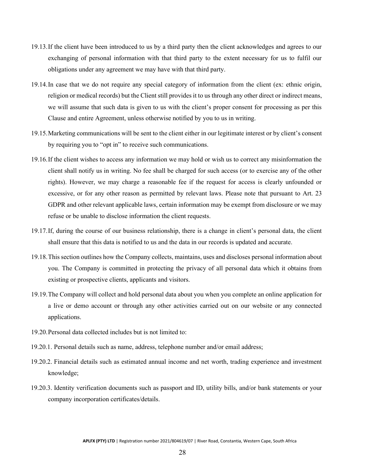- 19.13.If the client have been introduced to us by a third party then the client acknowledges and agrees to our exchanging of personal information with that third party to the extent necessary for us to fulfil our obligations under any agreement we may have with that third party.
- 19.14.In case that we do not require any special category of information from the client (ex: ethnic origin, religion or medical records) but the Client still provides it to us through any other direct or indirect means, we will assume that such data is given to us with the client's proper consent for processing as per this Clause and entire Agreement, unless otherwise notified by you to us in writing.
- 19.15.Marketing communications will be sent to the client either in our legitimate interest or by client's consent by requiring you to "opt in" to receive such communications.
- 19.16.If the client wishes to access any information we may hold or wish us to correct any misinformation the client shall notify us in writing. No fee shall be charged for such access (or to exercise any of the other rights). However, we may charge a reasonable fee if the request for access is clearly unfounded or excessive, or for any other reason as permitted by relevant laws. Please note that pursuant to Art. 23 GDPR and other relevant applicable laws, certain information may be exempt from disclosure or we may refuse or be unable to disclose information the client requests.
- 19.17.If, during the course of our business relationship, there is a change in client's personal data, the client shall ensure that this data is notified to us and the data in our records is updated and accurate.
- 19.18.This section outlines how the Company collects, maintains, uses and discloses personal information about you. The Company is committed in protecting the privacy of all personal data which it obtains from existing or prospective clients, applicants and visitors.
- 19.19.The Company will collect and hold personal data about you when you complete an online application for a live or demo account or through any other activities carried out on our website or any connected applications.
- 19.20.Personal data collected includes but is not limited to:
- 19.20.1. Personal details such as name, address, telephone number and/or email address;
- 19.20.2. Financial details such as estimated annual income and net worth, trading experience and investment knowledge;
- 19.20.3. Identity verification documents such as passport and ID, utility bills, and/or bank statements or your company incorporation certificates/details.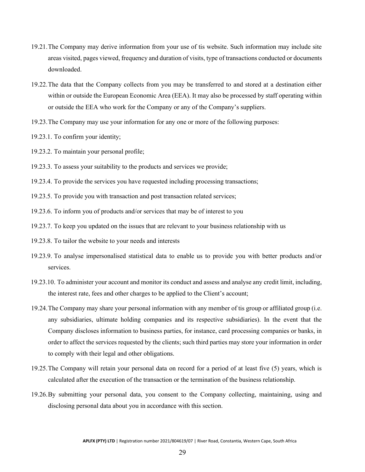- 19.21.The Company may derive information from your use of tis website. Such information may include site areas visited, pages viewed, frequency and duration of visits, type of transactions conducted or documents downloaded.
- 19.22.The data that the Company collects from you may be transferred to and stored at a destination either within or outside the European Economic Area (EEA). It may also be processed by staff operating within or outside the EEA who work for the Company or any of the Company's suppliers.
- 19.23.The Company may use your information for any one or more of the following purposes:
- 19.23.1. To confirm your identity;
- 19.23.2. To maintain your personal profile;
- 19.23.3. To assess your suitability to the products and services we provide;
- 19.23.4. To provide the services you have requested including processing transactions;
- 19.23.5. To provide you with transaction and post transaction related services;
- 19.23.6. To inform you of products and/or services that may be of interest to you
- 19.23.7. To keep you updated on the issues that are relevant to your business relationship with us
- 19.23.8. To tailor the website to your needs and interests
- 19.23.9. To analyse impersonalised statistical data to enable us to provide you with better products and/or services.
- 19.23.10. To administer your account and monitor its conduct and assess and analyse any credit limit, including, the interest rate, fees and other charges to be applied to the Client's account;
- 19.24.The Company may share your personal information with any member of tis group or affiliated group (i.e. any subsidiaries, ultimate holding companies and its respective subsidiaries). In the event that the Company discloses information to business parties, for instance, card processing companies or banks, in order to affect the services requested by the clients; such third parties may store your information in order to comply with their legal and other obligations.
- 19.25.The Company will retain your personal data on record for a period of at least five (5) years, which is calculated after the execution of the transaction or the termination of the business relationship.
- 19.26.By submitting your personal data, you consent to the Company collecting, maintaining, using and disclosing personal data about you in accordance with this section.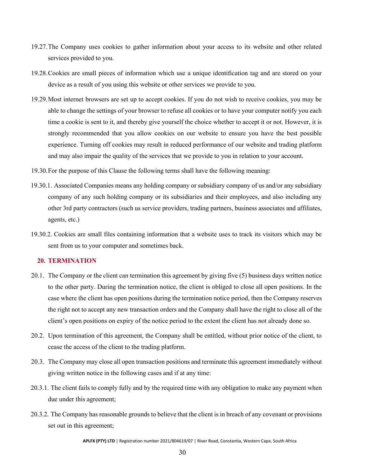- 19.27.The Company uses cookies to gather information about your access to its website and other related services provided to you.
- 19.28.Cookies are small pieces of information which use a unique identification tag and are stored on your device as a result of you using this website or other services we provide to you.
- 19.29.Most internet browsers are set up to accept cookies. If you do not wish to receive cookies, you may be able to change the settings of your browser to refuse all cookies or to have your computer notify you each time a cookie is sent to it, and thereby give yourself the choice whether to accept it or not. However, it is strongly recommended that you allow cookies on our website to ensure you have the best possible experience. Turning off cookies may result in reduced performance of our website and trading platform and may also impair the quality of the services that we provide to you in relation to your account.
- 19.30.For the purpose of this Clause the following terms shall have the following meaning:
- 19.30.1. Associated Companies means any holding company or subsidiary company of us and/or any subsidiary company of any such holding company or its subsidiaries and their employees, and also including any other 3rd party contractors (such us service providers, trading partners, business associates and affiliates, agents, etc.)
- 19.30.2. Cookies are small files containing information that a website uses to track its visitors which may be sent from us to your computer and sometimes back.

# <span id="page-32-0"></span>**20. TERMINATION**

- 20.1. The Company or the client can termination this agreement by giving five (5) business days written notice to the other party. During the termination notice, the client is obliged to close all open positions. In the case where the client has open positions during the termination notice period, then the Company reserves the right not to accept any new transaction orders and the Company shall have the right to close all of the client's open positions on expiry of the notice period to the extent the client has not already done so.
- 20.2. Upon termination of this agreement, the Company shall be entitled, without prior notice of the client, to cease the access of the client to the trading platform.
- 20.3. The Company may close all open transaction positions and terminate this agreement immediately without giving written notice in the following cases and if at any time:
- 20.3.1. The client fails to comply fully and by the required time with any obligation to make any payment when due under this agreement;
- 20.3.2. The Company has reasonable grounds to believe that the client is in breach of any covenant or provisions set out in this agreement;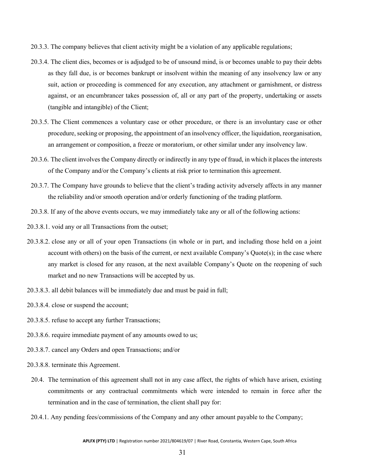- 20.3.3. The company believes that client activity might be a violation of any applicable regulations;
- 20.3.4. The client dies, becomes or is adjudged to be of unsound mind, is or becomes unable to pay their debts as they fall due, is or becomes bankrupt or insolvent within the meaning of any insolvency law or any suit, action or proceeding is commenced for any execution, any attachment or garnishment, or distress against, or an encumbrancer takes possession of, all or any part of the property, undertaking or assets (tangible and intangible) of the Client;
- 20.3.5. The Client commences a voluntary case or other procedure, or there is an involuntary case or other procedure, seeking or proposing, the appointment of an insolvency officer, the liquidation, reorganisation, an arrangement or composition, a freeze or moratorium, or other similar under any insolvency law.
- 20.3.6. The client involves the Company directly or indirectly in any type of fraud, in which it places the interests of the Company and/or the Company's clients at risk prior to termination this agreement.
- 20.3.7. The Company have grounds to believe that the client's trading activity adversely affects in any manner the reliability and/or smooth operation and/or orderly functioning of the trading platform.
- 20.3.8. If any of the above events occurs, we may immediately take any or all of the following actions:
- 20.3.8.1. void any or all Transactions from the outset;
- 20.3.8.2. close any or all of your open Transactions (in whole or in part, and including those held on a joint account with others) on the basis of the current, or next available Company's Quote(s); in the case where any market is closed for any reason, at the next available Company's Quote on the reopening of such market and no new Transactions will be accepted by us.
- 20.3.8.3. all debit balances will be immediately due and must be paid in full;
- 20.3.8.4. close or suspend the account;
- 20.3.8.5. refuse to accept any further Transactions;
- 20.3.8.6. require immediate payment of any amounts owed to us;
- 20.3.8.7. cancel any Orders and open Transactions; and/or
- 20.3.8.8. terminate this Agreement.
- 20.4. The termination of this agreement shall not in any case affect, the rights of which have arisen, existing commitments or any contractual commitments which were intended to remain in force after the termination and in the case of termination, the client shall pay for:
- 20.4.1. Any pending fees/commissions of the Company and any other amount payable to the Company;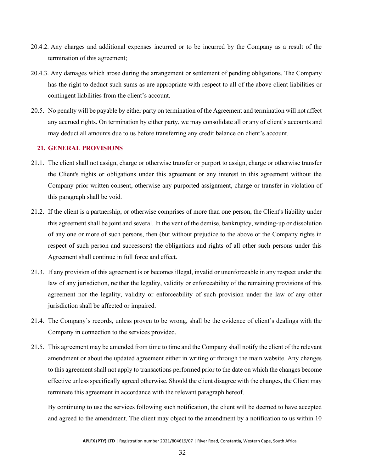- 20.4.2. Any charges and additional expenses incurred or to be incurred by the Company as a result of the termination of this agreement;
- 20.4.3. Any damages which arose during the arrangement or settlement of pending obligations. The Company has the right to deduct such sums as are appropriate with respect to all of the above client liabilities or contingent liabilities from the client's account.
- 20.5. No penalty will be payable by either party on termination of the Agreement and termination will not affect any accrued rights. On termination by either party, we may consolidate all or any of client's accounts and may deduct all amounts due to us before transferring any credit balance on client's account.

# <span id="page-34-0"></span>**21. GENERAL PROVISIONS**

- 21.1. The client shall not assign, charge or otherwise transfer or purport to assign, charge or otherwise transfer the Client's rights or obligations under this agreement or any interest in this agreement without the Company prior written consent, otherwise any purported assignment, charge or transfer in violation of this paragraph shall be void.
- 21.2. If the client is a partnership, or otherwise comprises of more than one person, the Client's liability under this agreement shall be joint and several. In the vent of the demise, bankruptcy, winding-up or dissolution of any one or more of such persons, then (but without prejudice to the above or the Company rights in respect of such person and successors) the obligations and rights of all other such persons under this Agreement shall continue in full force and effect.
- 21.3. If any provision of this agreement is or becomes illegal, invalid or unenforceable in any respect under the law of any jurisdiction, neither the legality, validity or enforceability of the remaining provisions of this agreement nor the legality, validity or enforceability of such provision under the law of any other jurisdiction shall be affected or impaired.
- 21.4. The Company's records, unless proven to be wrong, shall be the evidence of client's dealings with the Company in connection to the services provided.
- 21.5. This agreement may be amended from time to time and the Company shall notify the client of the relevant amendment or about the updated agreement either in writing or through the main website. Any changes to this agreement shall not apply to transactions performed prior to the date on which the changes become effective unless specifically agreed otherwise. Should the client disagree with the changes, the Client may terminate this agreement in accordance with the relevant paragraph hereof.

By continuing to use the services following such notification, the client will be deemed to have accepted and agreed to the amendment. The client may object to the amendment by a notification to us within 10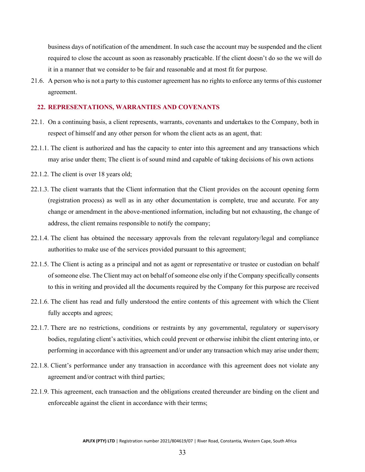business days of notification of the amendment. In such case the account may be suspended and the client required to close the account as soon as reasonably practicable. If the client doesn't do so the we will do it in a manner that we consider to be fair and reasonable and at most fit for purpose.

21.6. A person who is not a party to this customer agreement has no rights to enforce any terms of this customer agreement.

#### <span id="page-35-0"></span>**22. REPRESENTATIONS, WARRANTIES AND COVENANTS**

- 22.1. On a continuing basis, a client represents, warrants, covenants and undertakes to the Company, both in respect of himself and any other person for whom the client acts as an agent, that:
- 22.1.1. The client is authorized and has the capacity to enter into this agreement and any transactions which may arise under them; The client is of sound mind and capable of taking decisions of his own actions
- 22.1.2. The client is over 18 years old;
- 22.1.3. The client warrants that the Client information that the Client provides on the account opening form (registration process) as well as in any other documentation is complete, true and accurate. For any change or amendment in the above-mentioned information, including but not exhausting, the change of address, the client remains responsible to notify the company;
- 22.1.4. The client has obtained the necessary approvals from the relevant regulatory/legal and compliance authorities to make use of the services provided pursuant to this agreement;
- 22.1.5. The Client is acting as a principal and not as agent or representative or trustee or custodian on behalf of someone else. The Client may act on behalf ofsomeone else only if the Company specifically consents to this in writing and provided all the documents required by the Company for this purpose are received
- 22.1.6. The client has read and fully understood the entire contents of this agreement with which the Client fully accepts and agrees;
- 22.1.7. There are no restrictions, conditions or restraints by any governmental, regulatory or supervisory bodies, regulating client's activities, which could prevent or otherwise inhibit the client entering into, or performing in accordance with this agreement and/or under any transaction which may arise under them;
- 22.1.8. Client's performance under any transaction in accordance with this agreement does not violate any agreement and/or contract with third parties;
- 22.1.9. This agreement, each transaction and the obligations created thereunder are binding on the client and enforceable against the client in accordance with their terms;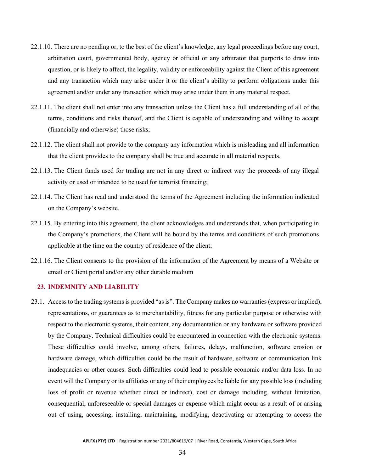- 22.1.10. There are no pending or, to the best of the client's knowledge, any legal proceedings before any court, arbitration court, governmental body, agency or official or any arbitrator that purports to draw into question, or is likely to affect, the legality, validity or enforceability against the Client of this agreement and any transaction which may arise under it or the client's ability to perform obligations under this agreement and/or under any transaction which may arise under them in any material respect.
- 22.1.11. The client shall not enter into any transaction unless the Client has a full understanding of all of the terms, conditions and risks thereof, and the Client is capable of understanding and willing to accept (financially and otherwise) those risks;
- 22.1.12. The client shall not provide to the company any information which is misleading and all information that the client provides to the company shall be true and accurate in all material respects.
- 22.1.13. The Client funds used for trading are not in any direct or indirect way the proceeds of any illegal activity or used or intended to be used for terrorist financing;
- 22.1.14. The Client has read and understood the terms of the Agreement including the information indicated on the Company's website.
- 22.1.15. By entering into this agreement, the client acknowledges and understands that, when participating in the Company's promotions, the Client will be bound by the terms and conditions of such promotions applicable at the time on the country of residence of the client;
- 22.1.16. The Client consents to the provision of the information of the Agreement by means of a Website or email or Client portal and/or any other durable medium

# <span id="page-36-0"></span>**23. INDEMNITY AND LIABILITY**

23.1. Access to the trading systems is provided "as is". The Company makes no warranties (express or implied), representations, or guarantees as to merchantability, fitness for any particular purpose or otherwise with respect to the electronic systems, their content, any documentation or any hardware or software provided by the Company. Technical difficulties could be encountered in connection with the electronic systems. These difficulties could involve, among others, failures, delays, malfunction, software erosion or hardware damage, which difficulties could be the result of hardware, software or communication link inadequacies or other causes. Such difficulties could lead to possible economic and/or data loss. In no event will the Company or its affiliates or any of their employees be liable for any possible loss (including loss of profit or revenue whether direct or indirect), cost or damage including, without limitation, consequential, unforeseeable or special damages or expense which might occur as a result of or arising out of using, accessing, installing, maintaining, modifying, deactivating or attempting to access the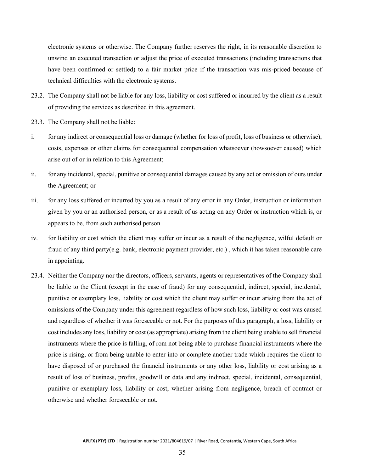electronic systems or otherwise. The Company further reserves the right, in its reasonable discretion to unwind an executed transaction or adjust the price of executed transactions (including transactions that have been confirmed or settled) to a fair market price if the transaction was mis-priced because of technical difficulties with the electronic systems.

- 23.2. The Company shall not be liable for any loss, liability or cost suffered or incurred by the client as a result of providing the services as described in this agreement.
- 23.3. The Company shall not be liable:
- i. for any indirect or consequential loss or damage (whether for loss of profit, loss of business or otherwise), costs, expenses or other claims for consequential compensation whatsoever (howsoever caused) which arise out of or in relation to this Agreement;
- ii. for any incidental, special, punitive or consequential damages caused by any act or omission of ours under the Agreement; or
- iii. for any loss suffered or incurred by you as a result of any error in any Order, instruction or information given by you or an authorised person, or as a result of us acting on any Order or instruction which is, or appears to be, from such authorised person
- iv. for liability or cost which the client may suffer or incur as a result of the negligence, wilful default or fraud of any third party(e.g. bank, electronic payment provider, etc.) , which it has taken reasonable care in appointing.
- 23.4. Neither the Company nor the directors, officers, servants, agents or representatives of the Company shall be liable to the Client (except in the case of fraud) for any consequential, indirect, special, incidental, punitive or exemplary loss, liability or cost which the client may suffer or incur arising from the act of omissions of the Company under this agreement regardless of how such loss, liability or cost was caused and regardless of whether it was foreseeable or not. For the purposes of this paragraph, a loss, liability or cost includes any loss, liability or cost (as appropriate) arising from the client being unable to sell financial instruments where the price is falling, of rom not being able to purchase financial instruments where the price is rising, or from being unable to enter into or complete another trade which requires the client to have disposed of or purchased the financial instruments or any other loss, liability or cost arising as a result of loss of business, profits, goodwill or data and any indirect, special, incidental, consequential, punitive or exemplary loss, liability or cost, whether arising from negligence, breach of contract or otherwise and whether foreseeable or not.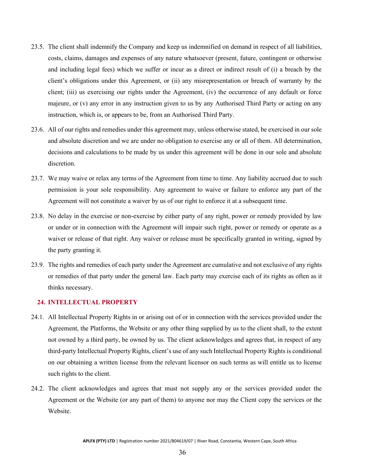- 23.5. The client shall indemnify the Company and keep us indemnified on demand in respect of all liabilities, costs, claims, damages and expenses of any nature whatsoever (present, future, contingent or otherwise and including legal fees) which we suffer or incur as a direct or indirect result of (i) a breach by the client's obligations under this Agreement, or (ii) any misrepresentation or breach of warranty by the client; (iii) us exercising our rights under the Agreement, (iv) the occurrence of any default or force majeure, or (v) any error in any instruction given to us by any Authorised Third Party or acting on any instruction, which is, or appears to be, from an Authorised Third Party.
- 23.6. All of our rights and remedies under this agreement may, unless otherwise stated, be exercised in our sole and absolute discretion and we are under no obligation to exercise any or all of them. All determination, decisions and calculations to be made by us under this agreement will be done in our sole and absolute discretion.
- 23.7. We may waive or relax any terms of the Agreement from time to time. Any liability accrued due to such permission is your sole responsibility. Any agreement to waive or failure to enforce any part of the Agreement will not constitute a waiver by us of our right to enforce it at a subsequent time.
- 23.8. No delay in the exercise or non-exercise by either party of any right, power or remedy provided by law or under or in connection with the Agreement will impair such right, power or remedy or operate as a waiver or release of that right. Any waiver or release must be specifically granted in writing, signed by the party granting it.
- 23.9. The rights and remedies of each party under the Agreement are cumulative and not exclusive of any rights or remedies of that party under the general law. Each party may exercise each of its rights as often as it thinks necessary.

# <span id="page-38-0"></span>**24. INTELLECTUAL PROPERTY**

- 24.1. All Intellectual Property Rights in or arising out of or in connection with the services provided under the Agreement, the Platforms, the Website or any other thing supplied by us to the client shall, to the extent not owned by a third party, be owned by us. The client acknowledges and agrees that, in respect of any third-party Intellectual Property Rights, client's use of any such Intellectual Property Rights is conditional on our obtaining a written license from the relevant licensor on such terms as will entitle us to license such rights to the client.
- 24.2. The client acknowledges and agrees that must not supply any or the services provided under the Agreement or the Website (or any part of them) to anyone nor may the Client copy the services or the Website.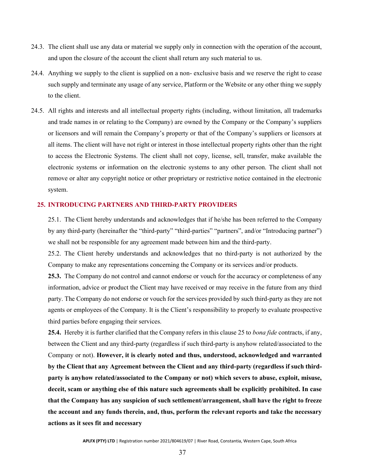- 24.3. The client shall use any data or material we supply only in connection with the operation of the account, and upon the closure of the account the client shall return any such material to us.
- 24.4. Anything we supply to the client is supplied on a non- exclusive basis and we reserve the right to cease such supply and terminate any usage of any service, Platform or the Website or any other thing we supply to the client.
- 24.5. All rights and interests and all intellectual property rights (including, without limitation, all trademarks and trade names in or relating to the Company) are owned by the Company or the Company's suppliers or licensors and will remain the Company's property or that of the Company's suppliers or licensors at all items. The client will have not right or interest in those intellectual property rights other than the right to access the Electronic Systems. The client shall not copy, license, sell, transfer, make available the electronic systems or information on the electronic systems to any other person. The client shall not remove or alter any copyright notice or other proprietary or restrictive notice contained in the electronic system.

#### <span id="page-39-0"></span>**25. INTRODUCING PARTNERS AND THIRD-PARTY PROVIDERS**

25.1. The Client hereby understands and acknowledges that if he/she has been referred to the Company by any third-party (hereinafter the "third-party" "third-parties" "partners", and/or "Introducing partner") we shall not be responsible for any agreement made between him and the third-party.

25.2. The Client hereby understands and acknowledges that no third-party is not authorized by the Company to make any representations concerning the Company or its services and/or products.

**25.3.** The Company do not control and cannot endorse or vouch for the accuracy or completeness of any information, advice or product the Client may have received or may receive in the future from any third party. The Company do not endorse or vouch for the services provided by such third-party as they are not agents or employees of the Company. It is the Client's responsibility to properly to evaluate prospective third parties before engaging their services.

**25.4.** Hereby it is further clarified that the Company refers in this clause 25 to *bona fide* contracts, if any, between the Client and any third-party (regardless if such third-party is anyhow related/associated to the Company or not). **However, it is clearly noted and thus, understood, acknowledged and warranted by the Client that any Agreement between the Client and any third-party (regardless if such thirdparty is anyhow related/associated to the Company or not) which severs to abuse, exploit, misuse, deceit, scam or anything else of this nature such agreements shall be explicitly prohibited. In case that the Company has any suspicion of such settlement/arrangement, shall have the right to freeze the account and any funds therein, and, thus, perform the relevant reports and take the necessary actions as it sees fit and necessary**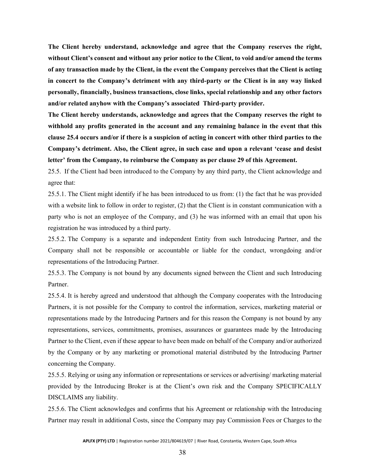**The Client hereby understand, acknowledge and agree that the Company reserves the right, without Client's consent and without any prior notice to the Client, to void and/or amend the terms of any transaction made by the Client, in the event the Company perceives that the Client is acting in concert to the Company's detriment with any third-party or the Client is in any way linked personally, financially, business transactions, close links, special relationship and any other factors and/or related anyhow with the Company's associated Third-party provider.**

**The Client hereby understands, acknowledge and agrees that the Company reserves the right to withhold any profits generated in the account and any remaining balance in the event that this clause 25.4 occurs and/or if there is a suspicion of acting in concert with other third parties to the Company's detriment. Also, the Client agree, in such case and upon a relevant 'cease and desist letter' from the Company, to reimburse the Company as per clause 29 of this Agreement.**

25.5. If the Client had been introduced to the Company by any third party, the Client acknowledge and agree that:

25.5.1. The Client might identify if he has been introduced to us from: (1) the fact that he was provided with a website link to follow in order to register, (2) that the Client is in constant communication with a party who is not an employee of the Company, and (3) he was informed with an email that upon his registration he was introduced by a third party.

25.5.2. The Company is a separate and independent Entity from such Introducing Partner, and the Company shall not be responsible or accountable or liable for the conduct, wrongdoing and/or representations of the Introducing Partner.

25.5.3. The Company is not bound by any documents signed between the Client and such Introducing Partner.

25.5.4. It is hereby agreed and understood that although the Company cooperates with the Introducing Partners, it is not possible for the Company to control the information, services, marketing material or representations made by the Introducing Partners and for this reason the Company is not bound by any representations, services, commitments, promises, assurances or guarantees made by the Introducing Partner to the Client, even if these appear to have been made on behalf of the Company and/or authorized by the Company or by any marketing or promotional material distributed by the Introducing Partner concerning the Company.

25.5.5. Relying or using any information or representations or services or advertising/ marketing material provided by the Introducing Broker is at the Client's own risk and the Company SPECIFICALLY DISCLAIMS any liability.

25.5.6. The Client acknowledges and confirms that his Agreement or relationship with the Introducing Partner may result in additional Costs, since the Company may pay Commission Fees or Charges to the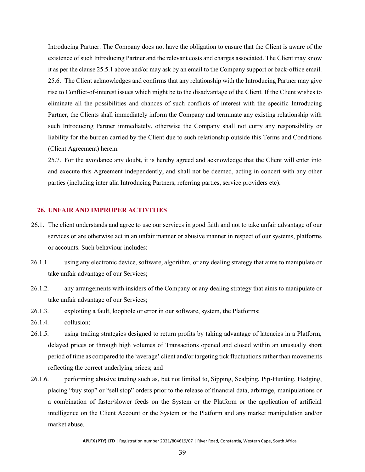Introducing Partner. The Company does not have the obligation to ensure that the Client is aware of the existence of such Introducing Partner and the relevant costs and charges associated. The Client may know it as per the clause 25.5.1 above and/or may ask by an email to the Company support or back-office email. 25.6. The Client acknowledges and confirms that any relationship with the Introducing Partner may give rise to Conflict-of-interest issues which might be to the disadvantage of the Client. If the Client wishes to eliminate all the possibilities and chances of such conflicts of interest with the specific Introducing Partner, the Clients shall immediately inform the Company and terminate any existing relationship with such Introducing Partner immediately, otherwise the Company shall not curry any responsibility or liability for the burden carried by the Client due to such relationship outside this Terms and Conditions (Client Agreement) herein.

25.7. For the avoidance any doubt, it is hereby agreed and acknowledge that the Client will enter into and execute this Agreement independently, and shall not be deemed, acting in concert with any other parties (including inter alia Introducing Partners, referring parties, service providers etc).

# <span id="page-41-0"></span>**26. UNFAIR AND IMPROPER ACTIVITIES**

- 26.1. The client understands and agree to use our services in good faith and not to take unfair advantage of our services or are otherwise act in an unfair manner or abusive manner in respect of our systems, platforms or accounts. Such behaviour includes:
- 26.1.1. using any electronic device, software, algorithm, or any dealing strategy that aims to manipulate or take unfair advantage of our Services;
- 26.1.2. any arrangements with insiders of the Company or any dealing strategy that aims to manipulate or take unfair advantage of our Services;
- 26.1.3. exploiting a fault, loophole or error in our software, system, the Platforms;
- 26.1.4. collusion;
- 26.1.5. using trading strategies designed to return profits by taking advantage of latencies in a Platform, delayed prices or through high volumes of Transactions opened and closed within an unusually short period of time as compared to the 'average' client and/or targeting tick fluctuations rather than movements reflecting the correct underlying prices; and
- 26.1.6. performing abusive trading such as, but not limited to, Sipping, Scalping, Pip-Hunting, Hedging, placing "buy stop" or "sell stop" orders prior to the release of financial data, arbitrage, manipulations or a combination of faster/slower feeds on the System or the Platform or the application of artificial intelligence on the Client Account or the System or the Platform and any market manipulation and/or market abuse.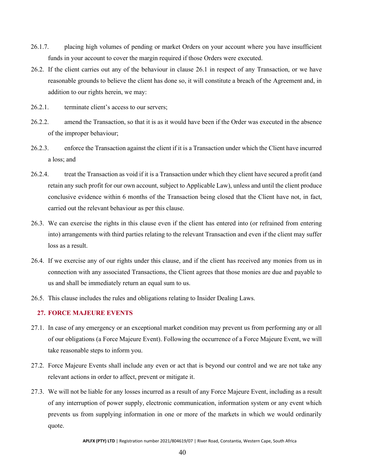- 26.1.7. placing high volumes of pending or market Orders on your account where you have insufficient funds in your account to cover the margin required if those Orders were executed.
- 26.2. If the client carries out any of the behaviour in clause 26.1 in respect of any Transaction, or we have reasonable grounds to believe the client has done so, it will constitute a breach of the Agreement and, in addition to our rights herein, we may:
- 26.2.1. terminate client's access to our servers;
- 26.2.2. amend the Transaction, so that it is as it would have been if the Order was executed in the absence of the improper behaviour;
- 26.2.3. enforce the Transaction against the client if it is a Transaction under which the Client have incurred a loss; and
- 26.2.4. treat the Transaction as void if it is a Transaction under which they client have secured a profit (and retain any such profit for our own account, subject to Applicable Law), unless and until the client produce conclusive evidence within 6 months of the Transaction being closed that the Client have not, in fact, carried out the relevant behaviour as per this clause.
- 26.3. We can exercise the rights in this clause even if the client has entered into (or refrained from entering into) arrangements with third parties relating to the relevant Transaction and even if the client may suffer loss as a result.
- 26.4. If we exercise any of our rights under this clause, and if the client has received any monies from us in connection with any associated Transactions, the Client agrees that those monies are due and payable to us and shall be immediately return an equal sum to us.
- 26.5. This clause includes the rules and obligations relating to Insider Dealing Laws.

# <span id="page-42-0"></span>**27. FORCE MAJEURE EVENTS**

- 27.1. In case of any emergency or an exceptional market condition may prevent us from performing any or all of our obligations (a Force Majeure Event). Following the occurrence of a Force Majeure Event, we will take reasonable steps to inform you.
- 27.2. Force Majeure Events shall include any even or act that is beyond our control and we are not take any relevant actions in order to affect, prevent or mitigate it.
- 27.3. We will not be liable for any losses incurred as a result of any Force Majeure Event, including as a result of any interruption of power supply, electronic communication, information system or any event which prevents us from supplying information in one or more of the markets in which we would ordinarily quote.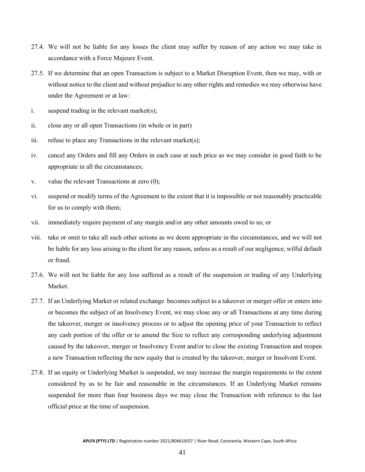- 27.4. We will not be liable for any losses the client may suffer by reason of any action we may take in accordance with a Force Majeure Event.
- 27.5. If we determine that an open Transaction is subject to a Market Disruption Event, then we may, with or without notice to the client and without prejudice to any other rights and remedies we may otherwise have under the Agreement or at law:
- i. suspend trading in the relevant market(s);
- ii. close any or all open Transactions (in whole or in part)
- iii. refuse to place any Transactions in the relevant market(s);
- iv. cancel any Orders and fill any Orders in each case at such price as we may consider in good faith to be appropriate in all the circumstances;
- v. value the relevant Transactions at zero (0);
- vi. suspend or modify terms of the Agreement to the extent that it is impossible or not reasonably practicable for us to comply with them;
- vii. immediately require payment of any margin and/or any other amounts owed to us; or
- viii. take or omit to take all such other actions as we deem appropriate in the circumstances, and we will not be liable for any loss arising to the client for any reason, unless as a result of our negligence, wilful default or fraud.
- 27.6. We will not be liable for any loss suffered as a result of the suspension or trading of any Underlying Market.
- 27.7. If an Underlying Market or related exchange becomes subject to a takeover or merger offer or enters into or becomes the subject of an Insolvency Event, we may close any or all Transactions at any time during the takeover, merger or insolvency process or to adjust the opening price of your Transaction to reflect any cash portion of the offer or to amend the Size to reflect any corresponding underlying adjustment caused by the takeover, merger or Insolvency Event and/or to close the existing Transaction and reopen a new Transaction reflecting the new equity that is created by the takeover, merger or Insolvent Event.
- 27.8. If an equity or Underlying Market is suspended, we may increase the margin requirements to the extent considered by us to be fair and reasonable in the circumstances. If an Underlying Market remains suspended for more than four business days we may close the Transaction with reference to the last official price at the time of suspension.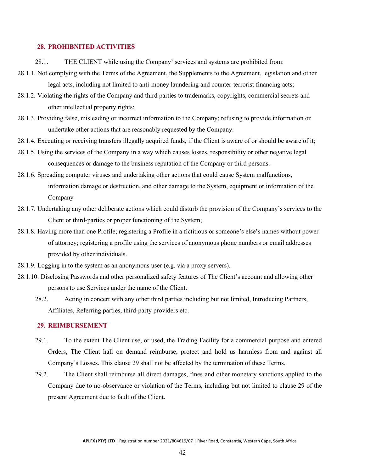#### <span id="page-44-0"></span>**28. PROHIBNITED ACTIVITIES**

- 28.1. THE CLIENT while using the Company' services and systems are prohibited from:
- 28.1.1. Not complying with the Terms of the Agreement, the Supplements to the Agreement, legislation and other legal acts, including not limited to anti-money laundering and counter-terrorist financing acts;
- 28.1.2. Violating the rights of the Company and third parties to trademarks, copyrights, commercial secrets and other intellectual property rights;
- 28.1.3. Providing false, misleading or incorrect information to the Company; refusing to provide information or undertake other actions that are reasonably requested by the Company.
- 28.1.4. Executing or receiving transfers illegally acquired funds, if the Client is aware of or should be aware of it;
- 28.1.5. Using the services of the Company in a way which causes losses, responsibility or other negative legal consequences or damage to the business reputation of the Company or third persons.
- 28.1.6. Spreading computer viruses and undertaking other actions that could cause System malfunctions, information damage or destruction, and other damage to the System, equipment or information of the Company
- 28.1.7. Undertaking any other deliberate actions which could disturb the provision of the Company's services to the Client or third-parties or proper functioning of the System;
- 28.1.8. Having more than one Profile; registering a Profile in a fictitious or someone's else's names without power of attorney; registering a profile using the services of anonymous phone numbers or email addresses provided by other individuals.
- 28.1.9. Logging in to the system as an anonymous user (e.g. via a proxy servers).
- 28.1.10. Disclosing Passwords and other personalized safety features of The Client's account and allowing other persons to use Services under the name of the Client.
	- 28.2. Acting in concert with any other third parties including but not limited, Introducing Partners, Affiliates, Referring parties, third-party providers etc.

#### <span id="page-44-1"></span>**29. REIMBURSEMENT**

- 29.1. To the extent The Client use, or used, the Trading Facility for a commercial purpose and entered Orders, The Client hall on demand reimburse, protect and hold us harmless from and against all Company's Losses. This clause 29 shall not be affected by the termination of these Terms.
- 29.2. The Client shall reimburse all direct damages, fines and other monetary sanctions applied to the Company due to no-observance or violation of the Terms, including but not limited to clause 29 of the present Agreement due to fault of the Client.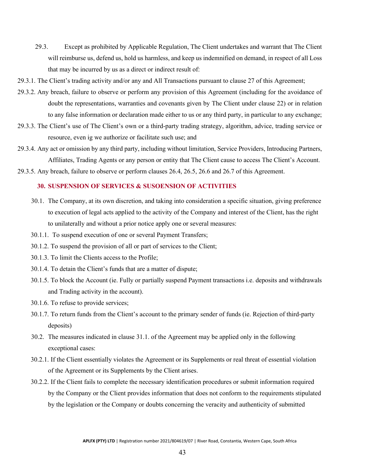- 29.3. Except as prohibited by Applicable Regulation, The Client undertakes and warrant that The Client will reimburse us, defend us, hold us harmless, and keep us indemnified on demand, in respect of all Loss that may be incurred by us as a direct or indirect result of:
- 29.3.1. The Client's trading activity and/or any and All Transactions pursuant to clause 27 of this Agreement;
- 29.3.2. Any breach, failure to observe or perform any provision of this Agreement (including for the avoidance of doubt the representations, warranties and covenants given by The Client under clause 22) or in relation to any false information or declaration made either to us or any third party, in particular to any exchange;
- 29.3.3. The Client's use of The Client's own or a third-party trading strategy, algorithm, advice, trading service or resource, even ig we authorize or facilitate such use; and
- 29.3.4. Any act or omission by any third party, including without limitation, Service Providers, Introducing Partners, Affiliates, Trading Agents or any person or entity that The Client cause to access The Client's Account.
- 29.3.5. Any breach, failure to observe or perform clauses 26.4, 26.5, 26.6 and 26.7 of this Agreement.

# <span id="page-45-0"></span>**30. SUSPENSION OF SERVICES & SUSOENSION OF ACTIVITIES**

- 30.1. The Company, at its own discretion, and taking into consideration a specific situation, giving preference to execution of legal acts applied to the activity of the Company and interest of the Client, has the right to unilaterally and without a prior notice apply one or several measures:
- 30.1.1. To suspend execution of one or several Payment Transfers;
- 30.1.2. To suspend the provision of all or part of services to the Client;
- 30.1.3. To limit the Clients access to the Profile;
- 30.1.4. To detain the Client's funds that are a matter of dispute;
- 30.1.5. To block the Account (ie. Fully or partially suspend Payment transactions i.e. deposits and withdrawals and Trading activity in the account).
- 30.1.6. To refuse to provide services;
- 30.1.7. To return funds from the Client's account to the primary sender of funds (ie. Rejection of third-party deposits)
- 30.2. The measures indicated in clause 31.1. of the Agreement may be applied only in the following exceptional cases:
- 30.2.1. If the Client essentially violates the Agreement or its Supplements or real threat of essential violation of the Agreement or its Supplements by the Client arises.
- 30.2.2. If the Client fails to complete the necessary identification procedures or submit information required by the Company or the Client provides information that does not conform to the requirements stipulated by the legislation or the Company or doubts concerning the veracity and authenticity of submitted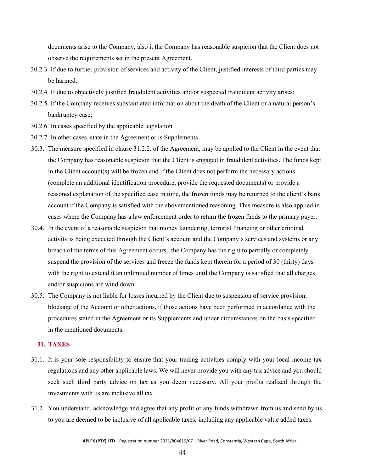documents arise to the Company, also it the Company has reasonable suspicion that the Client does not observe the requirements set in the present Agreement.

- 30.2.3. If due to further provision of services and activity of the Client, justified interests of third parties may be harmed.
- 30.2.4. If due to objectively justified fraudulent activities and/or suspected fraudulent activity arises;
- 30.2.5. If the Company receives substantiated information about the death of the Client or a natural person's bankruptcy case;
- 30.2.6. In cases specified by the applicable legislation
- 30.2.7. In other cases, state in the Agreement or is Supplements
- 30.3. The measure specified in clause 31.2.2. of the Agreement, may be applied to the Client in the event that the Company has reasonable suspicion that the Client is engaged in fraudulent activities. The funds kept in the Client account(s) will be frozen and if the Client does not perform the necessary actions (complete an additional identification procedure, provide the requested documents) or provide a reasoned explanation of the specified case in time, the frozen funds may be returned to the client's bank account if the Company is satisfied with the abovementioned reasoning. This measure is also applied in cases where the Company has a law enforcement order to return the frozen funds to the primary payer.
- 30.4. In the event of a reasonable suspicion that money laundering, terrorist financing or other criminal activity is being executed through the Client's account and the Company's services and systems or any breach of the terms of this Agreement occurs, the Company has the right to partially or completely suspend the provision of the services and freeze the funds kept therein for a period of 30 (thirty) days with the right to extend it an unlimited number of times until the Company is satisfied that all charges and/or suspicions are wind down.
- 30.5. The Company is not liable for losses incurred by the Client due to suspension of service provision, blockage of the Account or other actions, if those actions have been performed in accordance with the procedures stated in the Agreement or its Supplements and under circumstances on the basis specified in the mentioned documents.

# <span id="page-46-0"></span>**31. TAXES**

- 31.1. It is your sole responsibility to ensure that your trading activities comply with your local income tax regulations and any other applicable laws. We will never provide you with any tax advice and you should seek such third party advice on tax as you deem necessary. All your profits realized through the investments with us are inclusive all tax.
- 31.2. You understand, acknowledge and agree that any profit or any funds withdrawn from us and send by us to you are deemed to be inclusive of all applicable taxes, including any applicable value added taxes.